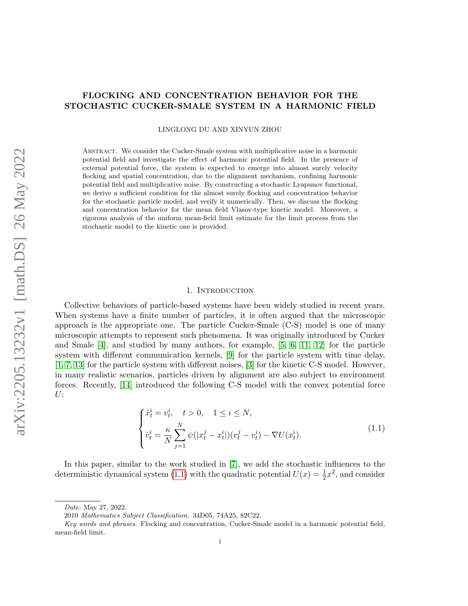# FLOCKING AND CONCENTRATION BEHAVIOR FOR THE STOCHASTIC CUCKER-SMALE SYSTEM IN A HARMONIC FIELD

LINGLONG DU AND XINYUN ZHOU

Abstract. We consider the Cucker-Smale system with multiplicative noise in a harmonic potential field and investigate the effect of harmonic potential field. In the presence of external potential force, the system is expected to emerge into almost surely velocity flocking and spatial concentration, due to the alignment mechanism, confining harmonic potential field and multiplicative noise. By constructing a stochastic Lyapunov functional, we derive a sufficient condition for the almost surely flocking and concentration behavior for the stochastic particle model, and verify it numerically. Then, we discuss the flocking and concentration behavior for the mean field Vlasov-type kinetic model. Moreover, a rigorous analysis of the uniform mean-field limit estimate for the limit process from the stochastic model to the kinetic one is provided.

## <span id="page-0-0"></span>1. INTRODUCTION

Collective behaviors of particle-based systems have been widely studied in recent years. When systems have a finite number of particles, it is often argued that the microscopic approach is the appropriate one. The particle Cucker-Smale (C-S) model is one of many microscopic attempts to represent such phenomena. It was originally introduced by Cucker and Smale  $[4]$ , and studied by many authors, for example,  $[5, 6, 11, 12]$  $[5, 6, 11, 12]$  $[5, 6, 11, 12]$  $[5, 6, 11, 12]$  for the particle system with different communication kernels, [\[9\]](#page-26-5) for the particle system with time delay, [\[1,](#page-26-6) [7,](#page-26-7) [13\]](#page-26-8) for the particle system with different noises, [\[3\]](#page-26-9) for the kinetic C-S model. However, in many realistic scenarios, particles driven by alignment are also subject to environment forces. Recently, [\[14\]](#page-26-10) introduced the following C-S model with the convex potential force  $U:$ 

$$
\begin{cases}\n\dot{x}_t^i = v_t^i, \quad t > 0, \quad 1 \le i \le N, \\
\dot{v}_t^i = \frac{\kappa}{N} \sum_{j=1}^N \psi(|x_t^j - x_t^i|)(v_t^j - v_t^i) - \nabla U(x_t^i).\n\end{cases} \tag{1.1}
$$

In this paper, similar to the work studied in [\[7\]](#page-26-7), we add the stochastic influences to the deterministic dynamical system [\(1.1\)](#page-0-0) with the quadratic potential  $U(x) = \frac{1}{2}x^2$ , and consider

Date: May 27, 2022.

<sup>2010</sup> Mathematics Subject Classification. 34D05, 74A25, 82C22.

Key words and phrases. Flocking and concentration, Cucker-Smale model in a harmonic potential field, mean-field limit.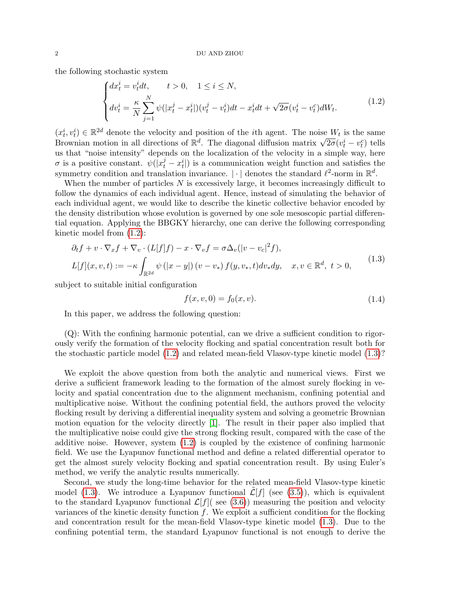the following stochastic system

<span id="page-1-0"></span>
$$
\begin{cases} dx_t^i = v_t^i dt, & t > 0, \quad 1 \le i \le N, \\ dv_t^i = \frac{\kappa}{N} \sum_{j=1}^N \psi(|x_t^j - x_t^i|)(v_t^j - v_t^i) dt - x_t^i dt + \sqrt{2\sigma}(v_t^i - v_t^c) dW_t. \end{cases}
$$
(1.2)

 $(x_t^i, v_t^i) \in \mathbb{R}^{2d}$  denote the velocity and position of the *i*th agent. The noise  $W_t$  is the same  $(x_t^i, v_t^j) \in \mathbb{R}^{n-1}$  denote the velocity and position of the  $i$ th agent. The hoise  $W_t$  is the same Brownian motion in all directions of  $\mathbb{R}^d$ . The diagonal diffusion matrix  $\sqrt{2\sigma}(v_t^i - v_t^c)$  tells us that "noise intensity" depends on the localization of the velocity in a simple way, here  $\sigma$  is a positive constant.  $\psi(|x_t^j - x_t^i|)$  is a communication weight function and satisfies the symmetry condition and translation invariance.  $|\cdot|$  denotes the standard  $\ell^2$ -norm in  $\mathbb{R}^d$ .

When the number of particles  $N$  is excessively large, it becomes increasingly difficult to follow the dynamics of each individual agent. Hence, instead of simulating the behavior of each individual agent, we would like to describe the kinetic collective behavior encoded by the density distribution whose evolution is governed by one sole mesoscopic partial differential equation. Applying the BBGKY hierarchy, one can derive the following corresponding kinetic model from [\(1.2\)](#page-1-0):

$$
\partial_t f + v \cdot \nabla_x f + \nabla_v \cdot (L[f]f) - x \cdot \nabla_v f = \sigma \Delta_v(|v - v_c|^2 f),
$$
  
\n
$$
L[f](x, v, t) := -\kappa \int_{\mathbb{R}^{2d}} \psi(|x - y|) (v - v_*) f(y, v_*, t) dv_* dy, \quad x, v \in \mathbb{R}^d, t > 0,
$$
\n(1.3)

subject to suitable initial configuration

<span id="page-1-2"></span><span id="page-1-1"></span>
$$
f(x, v, 0) = f_0(x, v).
$$
\n(1.4)

In this paper, we address the following question:

(Q): With the confining harmonic potential, can we drive a sufficient condition to rigorously verify the formation of the velocity flocking and spatial concentration result both for the stochastic particle model [\(1.2\)](#page-1-0) and related mean-field Vlasov-type kinetic model [\(1.3\)](#page-1-1)?

We exploit the above question from both the analytic and numerical views. First we derive a sufficient framework leading to the formation of the almost surely flocking in velocity and spatial concentration due to the alignment mechanism, confining potential and multiplicative noise. Without the confining potential field, the authors proved the velocity flocking result by deriving a differential inequality system and solving a geometric Brownian motion equation for the velocity directly [\[1\]](#page-26-6). The result in their paper also implied that the multiplicative noise could give the strong flocking result, compared with the case of the additive noise. However, system [\(1.2\)](#page-1-0) is coupled by the existence of confining harmonic field. We use the Lyapunov functional method and define a related differential operator to get the almost surely velocity flocking and spatial concentration result. By using Euler's method, we verify the analytic results numerically.

Second, we study the long-time behavior for the related mean-field Vlasov-type kinetic model [\(1.3\)](#page-1-1). We introduce a Lyapunov functional  $\mathcal{L}[f]$  (see [\(3.5\)](#page-9-0)), which is equivalent to the standard Lyapunov functional  $\mathcal{L}[f]$  see [\(3.6\)](#page-9-1)) measuring the position and velocity variances of the kinetic density function  $f$ . We exploit a sufficient condition for the flocking and concentration result for the mean-field Vlasov-type kinetic model [\(1.3\)](#page-1-1). Due to the confining potential term, the standard Lyapunov functional is not enough to derive the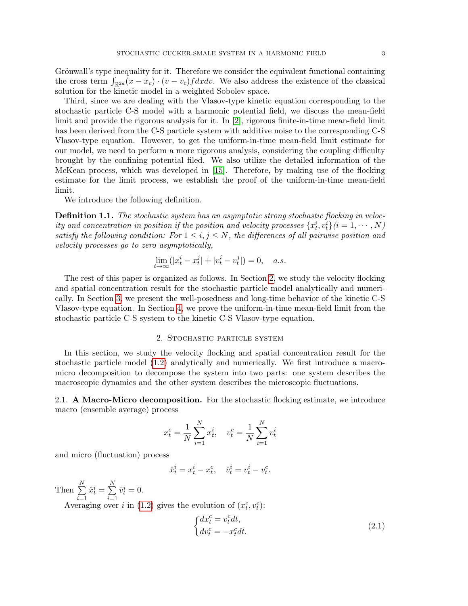Grönwall's type inequality for it. Therefore we consider the equivalent functional containing the cross term  $\int_{\mathbb{R}^{2d}} (x - x_c) \cdot (v - v_c) f dx dv$ . We also address the existence of the classical solution for the kinetic model in a weighted Sobolev space.

Third, since we are dealing with the Vlasov-type kinetic equation corresponding to the stochastic particle C-S model with a harmonic potential field, we discuss the mean-field limit and provide the rigorous analysis for it. In [\[2\]](#page-26-11), rigorous finite-in-time mean-field limit has been derived from the C-S particle system with additive noise to the corresponding C-S Vlasov-type equation. However, to get the uniform-in-time mean-field limit estimate for our model, we need to perform a more rigorous analysis, considering the coupling difficulty brought by the confining potential filed. We also utilize the detailed information of the McKean process, which was developed in [\[15\]](#page-26-12). Therefore, by making use of the flocking estimate for the limit process, we establish the proof of the uniform-in-time mean-field limit.

We introduce the following definition.

<span id="page-2-2"></span>Definition 1.1. The stochastic system has an asymptotic strong stochastic flocking in velocity and concentration in position if the position and velocity processes  $\{x_t^i, v_t^i\}$   $(i = 1, \cdots, N)$ satisfy the following condition: For  $1 \leq i, j \leq N$ , the differences of all pairwise position and velocity processes go to zero asymptotically,

$$
\lim_{t \to \infty} (|x_t^i - x_t^j| + |v_t^i - v_t^j|) = 0, \quad a.s.
$$

The rest of this paper is organized as follows. In Section [2,](#page-2-0) we study the velocity flocking and spatial concentration result for the stochastic particle model analytically and numerically. In Section [3,](#page-7-0) we present the well-posedness and long-time behavior of the kinetic C-S Vlasov-type equation. In Section [4,](#page-12-0) we prove the uniform-in-time mean-field limit from the stochastic particle C-S system to the kinetic C-S Vlasov-type equation.

# 2. Stochastic particle system

<span id="page-2-0"></span>In this section, we study the velocity flocking and spatial concentration result for the stochastic particle model [\(1.2\)](#page-1-0) analytically and numerically. We first introduce a macromicro decomposition to decompose the system into two parts: one system describes the macroscopic dynamics and the other system describes the microscopic fluctuations.

2.1. A Macro-Micro decomposition. For the stochastic flocking estimate, we introduce macro (ensemble average) process

$$
x_t^c = \frac{1}{N} \sum_{i=1}^N x_t^i, \quad v_t^c = \frac{1}{N} \sum_{i=1}^N v_t^i
$$

and micro (fluctuation) process

 $\hat{x}_t^i = x_t^i - x_t^c$ ,  $\hat{v}_t^i = v_t^i - v_t^c$ .

Then  $\sum_{i=1}^{N}$  $i=1$  $\hat{x}_t^i = \sum^N$  $i=1$  $\hat{v}_t^i = 0.$ 

Averaging over *i* in [\(1.2\)](#page-1-0) gives the evolution of  $(x_t^c, v_t^c)$ :

<span id="page-2-1"></span>
$$
\begin{cases} dx_t^c = v_t^c dt, \\ dv_t^c = -x_t^c dt. \end{cases} \tag{2.1}
$$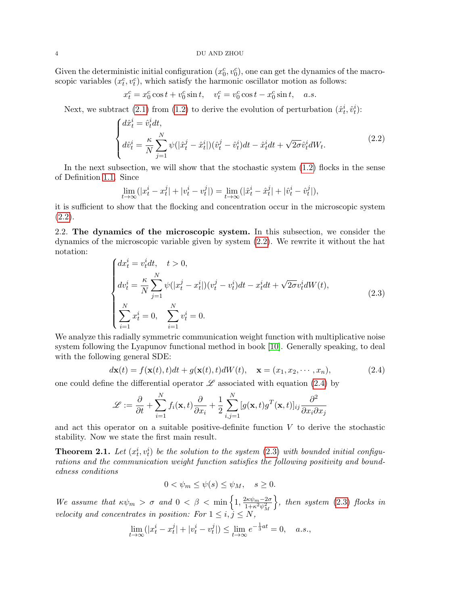#### 4 DU AND ZHOU

Given the deterministic initial configuration  $(x_0^c, v_0^c)$ , one can get the dynamics of the macroscopic variables  $(x_t^c, v_t^c)$ , which satisfy the harmonic oscillator motion as follows:

$$
x_t^c = x_0^c \cos t + v_0^c \sin t, \quad v_t^c = v_0^c \cos t - x_0^c \sin t, \quad a.s.
$$

Next, we subtract [\(2.1\)](#page-2-1) from [\(1.2\)](#page-1-0) to derive the evolution of perturbation  $(\hat{x}_t^i, \hat{v}_t^i)$ :

<span id="page-3-0"></span>
$$
\begin{cases} d\hat{x}_t^i = \hat{v}_t^i dt, \\ d\hat{v}_t^i = \frac{\kappa}{N} \sum_{j=1}^N \psi(|\hat{x}_t^j - \hat{x}_t^i|)(\hat{v}_t^j - \hat{v}_t^i) dt - \hat{x}_t^i dt + \sqrt{2\sigma} \hat{v}_t^i dW_t. \end{cases}
$$
(2.2)

In the next subsection, we will show that the stochastic system  $(1.2)$  flocks in the sense of Definition [1.1.](#page-2-2) Since

$$
\lim_{t \to \infty} (|x_t^i - x_t^j| + |v_t^i - v_t^j|) = \lim_{t \to \infty} (|\hat{x}_t^i - \hat{x}_t^j| + |\hat{v}_t^i - \hat{v}_t^j|),
$$

it is sufficient to show that the flocking and concentration occur in the microscopic system  $(2.2).$  $(2.2).$ 

2.2. The dynamics of the microscopic system. In this subsection, we consider the dynamics of the microscopic variable given by system [\(2.2\)](#page-3-0). We rewrite it without the hat notation:

<span id="page-3-2"></span>
$$
\begin{cases}\ndx_t^i = v_t^i dt, & t > 0, \\
dv_t^i = \frac{\kappa}{N} \sum_{j=1}^N \psi(|x_t^j - x_t^i|)(v_t^j - v_t^i) dt - x_t^i dt + \sqrt{2\sigma} v_t^i dW(t), \\
\sum_{i=1}^N x_t^i = 0, & \sum_{i=1}^N v_t^i = 0.\n\end{cases}
$$
\n(2.3)

We analyze this radially symmetric communication weight function with multiplicative noise system following the Lyapunov functional method in book [\[10\]](#page-26-13). Generally speaking, to deal with the following general SDE:

<span id="page-3-1"></span>
$$
d\mathbf{x}(t) = f(\mathbf{x}(t), t)dt + g(\mathbf{x}(t), t)dW(t), \quad \mathbf{x} = (x_1, x_2, \cdots, x_n),
$$
\n(2.4)

one could define the differential operator  $\mathscr L$  associated with equation [\(2.4\)](#page-3-1) by

$$
\mathcal{L} := \frac{\partial}{\partial t} + \sum_{i=1}^{N} f_i(\mathbf{x}, t) \frac{\partial}{\partial x_i} + \frac{1}{2} \sum_{i,j=1}^{N} [g(\mathbf{x}, t) g^T(\mathbf{x}, t)]_{ij} \frac{\partial^2}{\partial x_i \partial x_j}
$$

and act this operator on a suitable positive-definite function  $V$  to derive the stochastic stability. Now we state the first main result.

<span id="page-3-3"></span>**Theorem 2.1.** Let  $(x_t^i, v_t^i)$  be the solution to the system  $(2.3)$  with bounded initial configurations and the communication weight function satisfies the following positivity and boundedness conditions

$$
0 < \psi_m \le \psi(s) \le \psi_M, \quad s \ge 0.
$$

We assume that  $\kappa \psi_m > \sigma$  and  $0 < \beta < \min\left\{1, \frac{2\kappa \psi_m - 2\sigma}{1 + \kappa^2 v^2}\right\}$  $1+\kappa^2\psi_M^2$  $\},\,$  then system [\(2.3\)](#page-3-2) flocks in velocity and concentrates in position: For  $1 \leq i, j \leq N$ ,

$$
\lim_{t \to \infty} (|x_t^i - x_t^j| + |v_t^i - v_t^j|) \le \lim_{t \to \infty} e^{-\frac{1}{3}at} = 0, \quad a.s.,
$$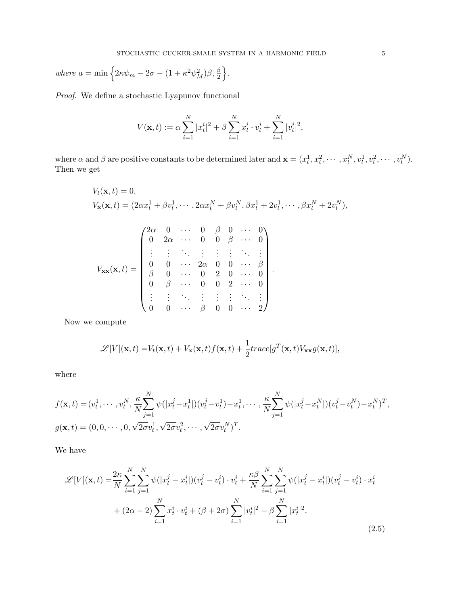where  $a = \min \left\{ 2\kappa \psi_m - 2\sigma - (1 + \kappa^2 \psi_M^2)\beta, \frac{\beta}{2} \right\}.$ 

Proof. We define a stochastic Lyapunov functional

$$
V(\mathbf{x},t) := \alpha \sum_{i=1}^{N} |x_t^i|^2 + \beta \sum_{i=1}^{N} x_t^i \cdot v_t^i + \sum_{i=1}^{N} |v_t^i|^2,
$$

where  $\alpha$  and  $\beta$  are positive constants to be determined later and  $\mathbf{x} = (x_t^1, x_t^2, \cdots, x_t^N, v_t^1, v_t^2, \cdots, v_t^N)$ . Then we get

$$
V_t(\mathbf{x},t) = 0,
$$
  
\n
$$
V_{\mathbf{x}}(\mathbf{x},t) = (2\alpha x_t^1 + \beta v_t^1, \cdots, 2\alpha x_t^N + \beta v_t^N, \beta x_t^1 + 2v_t^1, \cdots, \beta x_t^N + 2v_t^N),
$$
  
\n
$$
V_{\mathbf{x}}(\mathbf{x},t) = \begin{pmatrix} 2\alpha & 0 & \cdots & 0 & \beta & 0 & \cdots & 0 \\ 0 & 2\alpha & \cdots & 0 & 0 & \beta & \cdots & 0 \\ \vdots & \vdots & \ddots & \vdots & \vdots & \vdots & \ddots & \vdots \\ 0 & 0 & \cdots & 2\alpha & 0 & 0 & \cdots & \beta \\ \beta & 0 & \cdots & 0 & 2 & 0 & \cdots & 0 \\ 0 & \beta & \cdots & 0 & 0 & 2 & \cdots & 0 \\ \vdots & \vdots & \ddots & \vdots & \vdots & \vdots & \ddots & \vdots \\ 0 & 0 & \cdots & \beta & 0 & 0 & \cdots & 2 \end{pmatrix}.
$$

Now we compute

$$
\mathcal{L}[V](\mathbf{x},t) = V_t(\mathbf{x},t) + V_{\mathbf{x}}(\mathbf{x},t)f(\mathbf{x},t) + \frac{1}{2}trace[g^T(\mathbf{x},t)V_{\mathbf{xx}}g(\mathbf{x},t)],
$$

where

$$
f(\mathbf{x},t) = (v_t^1, \dots, v_t^N, \frac{\kappa}{N} \sum_{j=1}^N \psi(|x_t^j - x_t^1|)(v_t^j - v_t^1) - x_t^1, \dots, \frac{\kappa}{N} \sum_{j=1}^N \psi(|x_t^j - x_t^N|)(v_t^j - v_t^N) - x_t^N)^T,
$$
  

$$
g(\mathbf{x},t) = (0,0,\dots,0,\sqrt{2\sigma}v_t^1,\sqrt{2\sigma}v_t^2,\dots,\sqrt{2\sigma}v_t^N)^T.
$$

We have

<span id="page-4-0"></span>
$$
\mathcal{L}[V](\mathbf{x},t) = \frac{2\kappa}{N} \sum_{i=1}^{N} \sum_{j=1}^{N} \psi(|x_t^j - x_t^i|)(v_t^j - v_t^i) \cdot v_t^i + \frac{\kappa \beta}{N} \sum_{i=1}^{N} \sum_{j=1}^{N} \psi(|x_t^j - x_t^i|)(v_t^j - v_t^i) \cdot x_t^i
$$
  
+  $(2\alpha - 2) \sum_{i=1}^{N} x_t^i \cdot v_t^i + (\beta + 2\sigma) \sum_{i=1}^{N} |v_t^i|^2 - \beta \sum_{i=1}^{N} |x_t^i|^2.$  (2.5)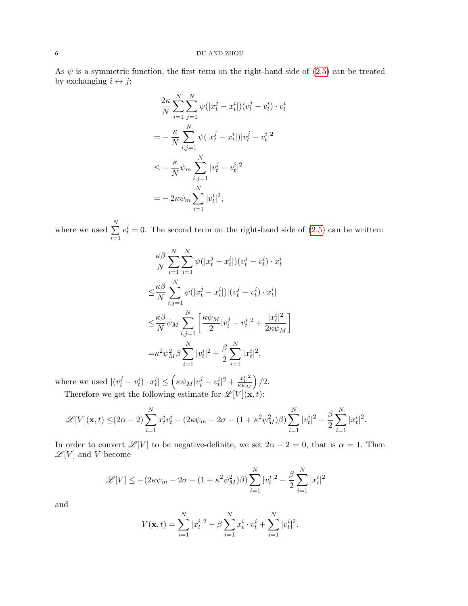As  $\psi$  is a symmetric function, the first term on the right-hand side of [\(2.5\)](#page-4-0) can be treated by exchanging  $i \leftrightarrow j$ :

$$
\frac{2\kappa}{N} \sum_{i=1}^{N} \sum_{j=1}^{N} \psi(|x_t^j - x_t^i|)(v_t^j - v_t^i) \cdot v_t^i
$$
\n
$$
= -\frac{\kappa}{N} \sum_{i,j=1}^{N} \psi(|x_t^j - x_t^i|)|v_t^j - v_t^i|^2
$$
\n
$$
\leq -\frac{\kappa}{N} \psi_m \sum_{i,j=1}^{N} |v_t^j - v_t^i|^2
$$
\n
$$
= -2\kappa \psi_m \sum_{i=1}^{N} |v_t^i|^2,
$$

where we used  $\sum_{n=1}^{N}$  $i=1$  $v_t^i = 0$ . The second term on the right-hand side of  $(2.5)$  can be written:

$$
\frac{\kappa \beta}{N} \sum_{i=1}^{N} \sum_{j=1}^{N} \psi(|x_t^j - x_t^i|)(v_t^j - v_t^i) \cdot x_t^i
$$
  
\n
$$
\leq \frac{\kappa \beta}{N} \sum_{i,j=1}^{N} \psi(|x_t^j - x_t^i|) |(v_t^j - v_t^i) \cdot x_t^i|
$$
  
\n
$$
\leq \frac{\kappa \beta}{N} \psi_M \sum_{i,j=1}^{N} \left[ \frac{\kappa \psi_M}{2} |v_t^j - v_t^i|^2 + \frac{|x_t^i|^2}{2 \kappa \psi_M} \right]
$$
  
\n
$$
= \kappa^2 \psi_M^2 \beta \sum_{i=1}^{N} |v_t^i|^2 + \frac{\beta}{2} \sum_{i=1}^{N} |x_t^i|^2,
$$

where we used  $|(v_t^j - v_t^i) \cdot x_t^i| \leq \left(\kappa \psi_M |v_t^j - v_t^i|^2 + \frac{|x_t^i|^2}{\kappa \psi_M}\right)$  $\overline{\kappa\psi_M}$  $\big)$  /2. Therefore we get the following estimate for  $\mathscr{L}[V](\mathbf{x},t)$ :

$$
\mathscr{L}[V](\mathbf{x},t) \leq (2\alpha - 2) \sum_{i=1}^{N} x_t^i v_t^i - (2\kappa \psi_m - 2\sigma - (1 + \kappa^2 \psi_M^2)\beta) \sum_{i=1}^{N} |v_t^i|^2 - \frac{\beta}{2} \sum_{i=1}^{N} |x_t^i|^2.
$$

In order to convert  $\mathscr{L}[V]$  to be negative-definite, we set  $2\alpha - 2 = 0$ , that is  $\alpha = 1$ . Then  $\mathscr{L}[V]$  and  $V$  become

$$
\mathcal{L}[V] \leq -(2\kappa\psi_m - 2\sigma - (1 + \kappa^2\psi_M^2)\beta) \sum_{i=1}^N |v_t^i|^2 - \frac{\beta}{2} \sum_{i=1}^N |x_t^i|^2
$$

and

$$
V(\mathbf{x},t) = \sum_{i=1}^{N} |x_t^i|^2 + \beta \sum_{i=1}^{N} x_t^i \cdot v_t^i + \sum_{i=1}^{N} |v_t^i|^2.
$$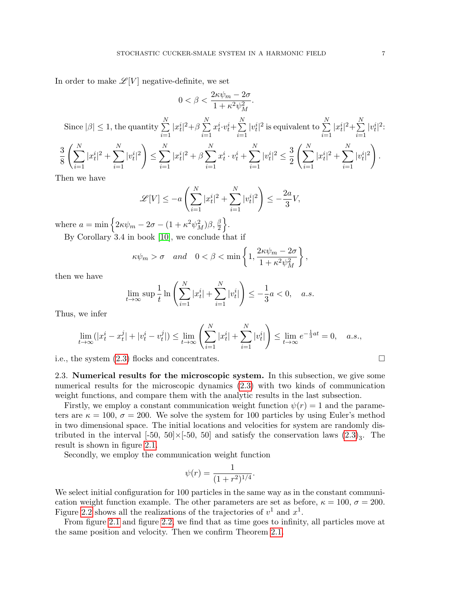In order to make  $\mathscr{L}[V]$  negative-definite, we set

$$
0 < \beta < \frac{2\sqrt{m}}{1 + \kappa^2 \psi_M^2}.
$$
\nSince  $|\beta| \le 1$ , the quantity  $\sum_{i=1}^N |x_i^i|^2 + \beta \sum_{i=1}^N x_i^i \cdot v_t^i + \sum_{i=1}^N |v_i^i|^2$  is equivalent to  $\sum_{i=1}^N |x_i^i|^2 + \sum_{i=1}^N |v_i^i|^2$ :\n
$$
\frac{3}{8} \left( \sum_{i=1}^N |x_i^i|^2 + \sum_{i=1}^N |v_i^i|^2 \right) \le \sum_{i=1}^N |x_i^i|^2 + \beta \sum_{i=1}^N x_i^i \cdot v_t^i + \sum_{i=1}^N |v_i^i|^2 \le \frac{3}{2} \left( \sum_{i=1}^N |x_i^i|^2 + \sum_{i=1}^N |v_i^i|^2 \right).
$$
\nThen we have

 $2\kappa\psi_m - 2\sigma$ 

Then we have

$$
\mathcal{L}[V] \le -a\left(\sum_{i=1}^N |x_t^i|^2 + \sum_{i=1}^N |v_t^i|^2\right) \le -\frac{2a}{3}V,
$$

where  $a = \min \left\{ 2\kappa \psi_m - 2\sigma - (1 + \kappa^2 \psi_M^2)\beta, \frac{\beta}{2} \right\}.$ 

By Corollary 3.4 in book [\[10\]](#page-26-13), we conclude that if

$$
\kappa \psi_m > \sigma
$$
 and  $0 < \beta < \min \left\{ 1, \frac{2\kappa \psi_m - 2\sigma}{1 + \kappa^2 \psi_M^2} \right\},$ 

then we have

$$
\lim_{t \to \infty} \sup \frac{1}{t} \ln \left( \sum_{i=1}^{N} |x_t^i| + \sum_{i=1}^{N} |v_t^i| \right) \le -\frac{1}{3} a < 0, \quad a.s.
$$

Thus, we infer

$$
\lim_{t \to \infty} (|x_t^i - x_t^j| + |v_t^i - v_t^j|) \le \lim_{t \to \infty} \left( \sum_{i=1}^N |x_t^i| + \sum_{i=1}^N |v_t^i| \right) \le \lim_{t \to \infty} e^{-\frac{1}{3}at} = 0, \quad a.s.,
$$

i.e., the system [\(2.3\)](#page-3-2) flocks and concentrates.

2.3. Numerical results for the microscopic system. In this subsection, we give some numerical results for the microscopic dynamics [\(2.3\)](#page-3-2) with two kinds of communication weight functions, and compare them with the analytic results in the last subsection.

Firstly, we employ a constant communication weight function  $\psi(r) = 1$  and the parameters are  $\kappa = 100$ ,  $\sigma = 200$ . We solve the system for 100 particles by using Euler's method in two dimensional space. The initial locations and velocities for system are randomly distributed in the interval  $[-50, 50] \times [-50, 50]$  and satisfy the conservation laws  $(2.3)_3$  $(2.3)_3$ . The result is shown in figure [2.1.](#page-7-1)

Secondly, we employ the communication weight function

$$
\psi(r) = \frac{1}{(1+r^2)^{1/4}}.
$$

We select initial configuration for 100 particles in the same way as in the constant communication weight function example. The other parameters are set as before,  $\kappa = 100$ ,  $\sigma = 200$ . Figure [2.2](#page-7-2) shows all the realizations of the trajectories of  $v^1$  and  $x^1$ .

From figure [2.1](#page-7-1) and figure [2.2,](#page-7-2) we find that as time goes to infinity, all particles move at the same position and velocity. Then we confirm Theorem [2.1.](#page-3-3)

$$
\qquad \qquad \Box
$$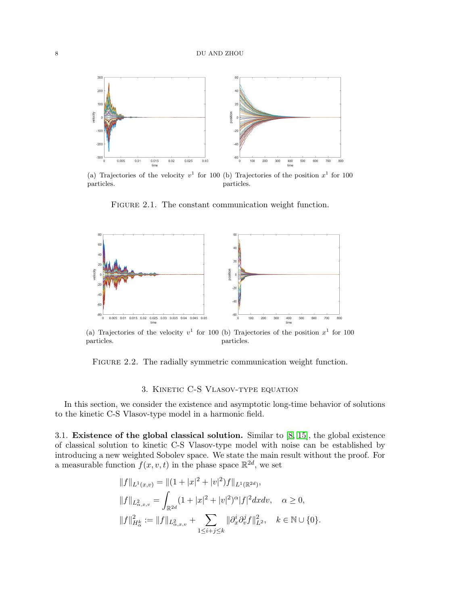<span id="page-7-1"></span>

(a) Trajectories of the velocity  $v^1$  for 100 (b) Trajectories of the position  $x^1$  for 100 particles. particles.

FIGURE 2.1. The constant communication weight function.

<span id="page-7-2"></span>

(a) Trajectories of the velocity  $v^1$  for 100 (b) Trajectories of the position  $x^1$  for 100 particles. particles.

FIGURE 2.2. The radially symmetric communication weight function.

## 3. Kinetic C-S Vlasov-type equation

<span id="page-7-0"></span>In this section, we consider the existence and asymptotic long-time behavior of solutions to the kinetic C-S Vlasov-type model in a harmonic field.

3.1. Existence of the global classical solution. Similar to [\[8,](#page-26-14) [15\]](#page-26-12), the global existence of classical solution to kinetic C-S Vlasov-type model with noise can be established by introducing a new weighted Sobolev space. We state the main result without the proof. For a measurable function  $f(x, v, t)$  in the phase space  $\mathbb{R}^{2d}$ , we set

$$
||f||_{L^1(x,v)} = ||(1+|x|^2+|v|^2)f||_{L^1(\mathbb{R}^{2d})},
$$
  
\n
$$
||f||_{L^2_{\alpha,x,v}} = \int_{\mathbb{R}^{2d}} (1+|x|^2+|v|^2)^{\alpha} |f|^2 dx dv, \quad \alpha \ge 0,
$$
  
\n
$$
||f||_{H^k_{\alpha}}^2 := ||f||_{L^2_{\alpha,x,v}} + \sum_{1 \le i+j \le k} ||\partial_x^i \partial_v^j f||_{L^2}^2, \quad k \in \mathbb{N} \cup \{0\}.
$$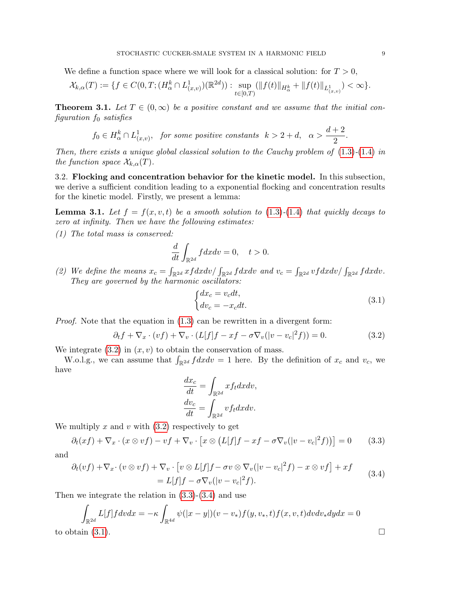We define a function space where we will look for a classical solution: for  $T > 0$ ,

$$
\mathcal{X}_{k,\alpha}(T) := \{ f \in C(0,T; (H_{\alpha}^k \cap L_{(x,v)}^1)(\mathbb{R}^{2d})) : \sup_{t \in [0,T)} (\|f(t)\|_{H_{\alpha}^k} + \|f(t)\|_{L_{(x,v)}^1}) < \infty \}.
$$

**Theorem 3.1.** Let  $T \in (0,\infty)$  be a positive constant and we assume that the initial con $figuration f_0 satisfies$ 

$$
f_0 \in H^k_\alpha \cap L^1_{(x,v)},
$$
 for some positive constants  $k > 2 + d$ ,  $\alpha > \frac{d+2}{2}$ .

Then, there exists a unique global classical solution to the Cauchy problem of  $(1.3)-(1.4)$  $(1.3)-(1.4)$  $(1.3)-(1.4)$  in the function space  $\mathcal{X}_{k,\alpha}(T)$ .

3.2. Flocking and concentration behavior for the kinetic model. In this subsection, we derive a sufficient condition leading to a exponential flocking and concentration results for the kinetic model. Firstly, we present a lemma:

<span id="page-8-4"></span>**Lemma 3.1.** Let  $f = f(x, v, t)$  be a smooth solution to [\(1.3\)](#page-1-1)-[\(1.4\)](#page-1-2) that quickly decays to zero at infinity. Then we have the following estimates:

(1) The total mass is conserved:

$$
\frac{d}{dt} \int_{\mathbb{R}^{2d}} f dx dv = 0, \quad t > 0.
$$

(2) We define the means  $x_c = \int_{\mathbb{R}^{2d}} xfdxdv / \int_{\mathbb{R}^{2d}} f dx dv$  and  $v_c = \int_{\mathbb{R}^{2d}} vfdxdv / \int_{\mathbb{R}^{2d}} f dx dv$ . They are governed by the harmonic oscillators:

<span id="page-8-3"></span><span id="page-8-0"></span>
$$
\begin{cases} dx_c = v_c dt, \\ dv_c = -x_c dt. \end{cases} \tag{3.1}
$$

*Proof.* Note that the equation in  $(1.3)$  can be rewritten in a divergent form:

$$
\partial_t f + \nabla_x \cdot (vf) + \nabla_v \cdot (L[f]f - xf - \sigma \nabla_v(|v - v_c|^2 f)) = 0. \tag{3.2}
$$

We integrate  $(3.2)$  in  $(x, v)$  to obtain the conservation of mass.

W.o.l.g., we can assume that  $\int_{\mathbb{R}^{2d}} f dx dv = 1$  here. By the definition of  $x_c$  and  $v_c$ , we have

<span id="page-8-2"></span><span id="page-8-1"></span>
$$
\frac{dx_c}{dt} = \int_{\mathbb{R}^{2d}} x f_t dx dv,
$$

$$
\frac{dv_c}{dt} = \int_{\mathbb{R}^{2d}} v f_t dx dv.
$$

We multiply  $x$  and  $v$  with  $(3.2)$  respectively to get

$$
\partial_t (xf) + \nabla_x \cdot (x \otimes vf) - vf + \nabla_v \cdot [x \otimes (L[f]f - xf - \sigma \nabla_v(|v - v_c|^2 f))] = 0 \qquad (3.3)
$$

and

$$
\partial_t (vf) + \nabla_x \cdot (v \otimes vf) + \nabla_v \cdot [v \otimes L[f]f - \sigma v \otimes \nabla_v(|v - v_c|^2 f) - x \otimes vf] + xf
$$
  
=  $L[f]f - \sigma \nabla_v(|v - v_c|^2 f).$  (3.4)

Then we integrate the relation in [\(3.3\)](#page-8-1)-[\(3.4\)](#page-8-2) and use

$$
\int_{\mathbb{R}^{2d}} L[f] f dv dx = -\kappa \int_{\mathbb{R}^{4d}} \psi(|x-y|)(v-v_*) f(y,v_*,t) f(x,v,t) dv dv_* dy dx = 0
$$
  
to obtain (3.1).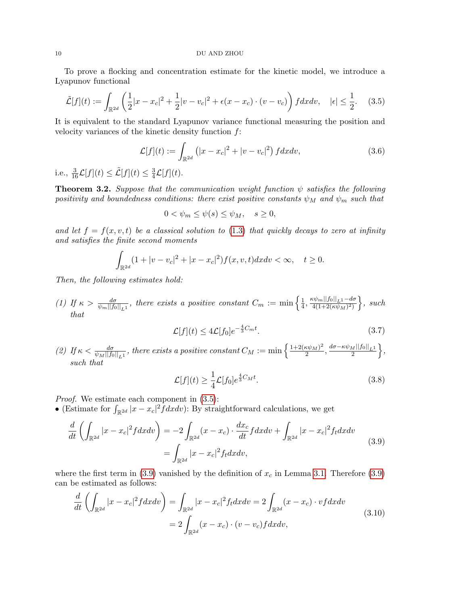#### 10 DU AND ZHOU

To prove a flocking and concentration estimate for the kinetic model, we introduce a Lyapunov functional

<span id="page-9-0"></span>
$$
\tilde{\mathcal{L}}[f](t) := \int_{\mathbb{R}^{2d}} \left( \frac{1}{2} |x - x_c|^2 + \frac{1}{2} |v - v_c|^2 + \epsilon (x - x_c) \cdot (v - v_c) \right) f dx dv, \quad |\epsilon| \le \frac{1}{2}.
$$
 (3.5)

It is equivalent to the standard Lyapunov variance functional measuring the position and velocity variances of the kinetic density function  $f$ :

<span id="page-9-1"></span>
$$
\mathcal{L}[f](t) := \int_{\mathbb{R}^{2d}} \left( |x - x_c|^2 + |v - v_c|^2 \right) f dx dv, \tag{3.6}
$$

i.e.,  $\frac{3}{16}\mathcal{L}[f](t) \leq \tilde{\mathcal{L}}[f](t) \leq \frac{3}{4}$  $\frac{3}{4}\mathcal{L}[f](t).$ 

<span id="page-9-6"></span>**Theorem 3.2.** Suppose that the communication weight function  $\psi$  satisfies the following positivity and boundedness conditions: there exist positive constants  $\psi_M$  and  $\psi_m$  such that

$$
0 < \psi_m \le \psi(s) \le \psi_M, \quad s \ge 0,
$$

and let  $f = f(x, v, t)$  be a classical solution to [\(1.3\)](#page-1-1) that quickly decays to zero at infinity and satisfies the finite second moments

$$
\int_{\mathbb{R}^{2d}} (1+|v-v_c|^2+|x-x_c|^2) f(x, v, t) dx dv < \infty, \quad t \ge 0.
$$

Then, the following estimates hold:

(1) If  $\kappa > \frac{d\sigma}{\psi_m||f_0||_{L^1}}$ , there exists a positive constant  $C_m := \min\left\{\frac{1}{4}\right\}$  $\frac{1}{4}$ ,  $\frac{\kappa \psi_m ||f_0||_{L^1} - d\sigma}{4(1+2(\kappa \psi_M)^2)}$  $\frac{\alpha\psi_m\|f_0\|_{L^1}-d\sigma}{4(1+2(\kappa\psi_M)^2)}\Big\}, \; such$ that

<span id="page-9-4"></span>
$$
\mathcal{L}[f](t) \le 4\mathcal{L}[f_0]e^{-\frac{4}{3}C_m t}.\tag{3.7}
$$

(2) If  $\kappa < \frac{d\sigma}{\psi_M||f_0||_{L^1}}$ , there exists a positive constant  $C_M := \min\left\{\frac{1+2(\kappa\psi_M)^2}{2}\right\}$  $\frac{1}{2} \frac{d\sigma - \kappa \psi_M ||f_0||_{L^1}}{2} \bigg\},$ such that

<span id="page-9-5"></span><span id="page-9-3"></span><span id="page-9-2"></span>
$$
\mathcal{L}[f](t) \ge \frac{1}{4}\mathcal{L}[f_0]e^{\frac{4}{3}C_M t}.\tag{3.8}
$$

Proof. We estimate each component in [\(3.5\)](#page-9-0):

• (Estimate for  $\int_{\mathbb{R}^{2d}} |x - x_c|^2 f dx dv$ ): By straightforward calculations, we get

$$
\frac{d}{dt}\left(\int_{\mathbb{R}^{2d}}|x-x_c|^2f dx dv\right) = -2\int_{\mathbb{R}^{2d}}(x-x_c) \cdot \frac{dx_c}{dt} f dx dv + \int_{\mathbb{R}^{2d}}|x-x_c|^2 f_t dx dv
$$
\n
$$
= \int_{\mathbb{R}^{2d}}|x-x_c|^2 f_t dx dv,
$$
\n(3.9)

where the first term in  $(3.9)$  vanished by the definition of  $x_c$  in Lemma [3.1.](#page-8-4) Therefore  $(3.9)$ can be estimated as follows:

$$
\frac{d}{dt}\left(\int_{\mathbb{R}^{2d}}|x-x_c|^2f dx dv\right) = \int_{\mathbb{R}^{2d}}|x-x_c|^2f_t dx dv = 2\int_{\mathbb{R}^{2d}}(x-x_c)\cdot v f dx dv
$$
\n
$$
= 2\int_{\mathbb{R}^{2d}}(x-x_c)\cdot(v-v_c)f dx dv,
$$
\n(3.10)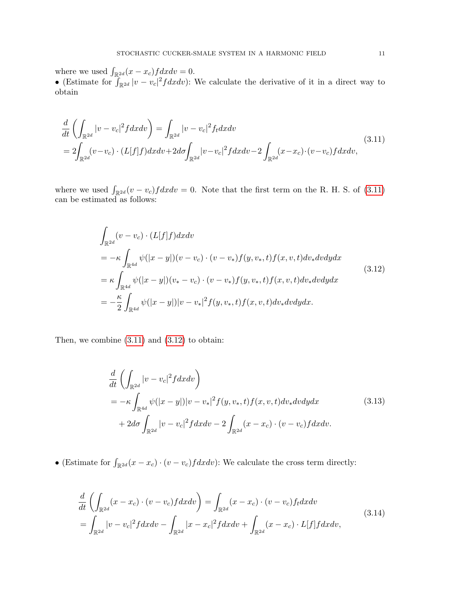where we used  $\int_{\mathbb{R}^{2d}} (x - x_c) f dx dv = 0.$ 

• (Estimate for  $\int_{\mathbb{R}^{2d}} |v - v_c|^2 f dx dv$ ): We calculate the derivative of it in a direct way to obtain

$$
\frac{d}{dt} \left( \int_{\mathbb{R}^{2d}} |v - v_c|^2 f dx dv \right) = \int_{\mathbb{R}^{2d}} |v - v_c|^2 f_t dx dv
$$
\n
$$
= 2 \int_{\mathbb{R}^{2d}} (v - v_c) \cdot (L[f]f) dx dv + 2d\sigma \int_{\mathbb{R}^{2d}} |v - v_c|^2 f dx dv - 2 \int_{\mathbb{R}^{2d}} (x - x_c) \cdot (v - v_c) f dx dv,
$$
\n(3.11)

where we used  $\int_{\mathbb{R}^{2d}} (v - v_c) f dx dv = 0$ . Note that the first term on the R. H. S. of [\(3.11\)](#page-10-0) can be estimated as follows:

<span id="page-10-1"></span><span id="page-10-0"></span>
$$
\int_{\mathbb{R}^{2d}} (v - v_c) \cdot (L[f]f) dx dv
$$
\n
$$
= -\kappa \int_{\mathbb{R}^{4d}} \psi(|x - y|) (v - v_c) \cdot (v - v_*) f(y, v_*, t) f(x, v, t) dv_* dv dy dx
$$
\n
$$
= \kappa \int_{\mathbb{R}^{4d}} \psi(|x - y|) (v_* - v_c) \cdot (v - v_*) f(y, v_*, t) f(x, v, t) dv_* dv dy dx
$$
\n
$$
= -\frac{\kappa}{2} \int_{\mathbb{R}^{4d}} \psi(|x - y|) |v - v_*|^2 f(y, v_*, t) f(x, v, t) dv_* dv dy dx.
$$
\n(3.12)

Then, we combine  $(3.11)$  and  $(3.12)$  to obtain:

<span id="page-10-3"></span>
$$
\frac{d}{dt} \left( \int_{\mathbb{R}^{2d}} |v - v_c|^2 f dx dv \right) \n= -\kappa \int_{\mathbb{R}^{4d}} \psi(|x - y|) |v - v_*|^2 f(y, v_*, t) f(x, v, t) dv_* dv dy dx \n+ 2d\sigma \int_{\mathbb{R}^{2d}} |v - v_c|^2 f dx dv - 2 \int_{\mathbb{R}^{2d}} (x - x_c) \cdot (v - v_c) f dx dv.
$$
\n(3.13)

• (Estimate for  $\int_{\mathbb{R}^{2d}} (x - x_c) \cdot (v - v_c) f dx dv$ ): We calculate the cross term directly:

<span id="page-10-2"></span>
$$
\frac{d}{dt}\left(\int_{\mathbb{R}^{2d}}(x-x_c)\cdot(v-v_c)f dxdv\right) = \int_{\mathbb{R}^{2d}}(x-x_c)\cdot(v-v_c)f_d dxdv
$$
\n
$$
= \int_{\mathbb{R}^{2d}}|v-v_c|^2 f dxdv - \int_{\mathbb{R}^{2d}}|x-x_c|^2 f dxdv + \int_{\mathbb{R}^{2d}}(x-x_c)\cdot L[f] f dxdv,
$$
\n(3.14)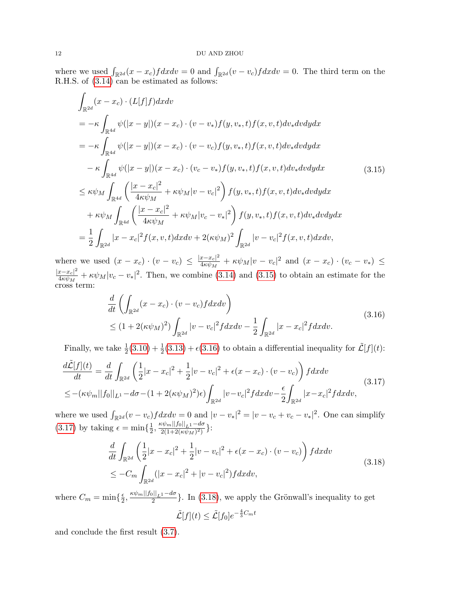where we used  $\int_{\mathbb{R}^{2d}} (x - x_c) f dx dv = 0$  and  $\int_{\mathbb{R}^{2d}} (v - v_c) f dx dv = 0$ . The third term on the R.H.S. of [\(3.14\)](#page-10-2) can be estimated as follows:

$$
\int_{\mathbb{R}^{2d}} (x - x_c) \cdot (L[f]f) dx dv
$$
\n
$$
= -\kappa \int_{\mathbb{R}^{4d}} \psi(|x - y|)(x - x_c) \cdot (v - v_*) f(y, v_*, t) f(x, v, t) dv_* dv dy dx
$$
\n
$$
= -\kappa \int_{\mathbb{R}^{4d}} \psi(|x - y|)(x - x_c) \cdot (v - v_c) f(y, v_*, t) f(x, v, t) dv_* dv dy dx
$$
\n
$$
- \kappa \int_{\mathbb{R}^{4d}} \psi(|x - y|)(x - x_c) \cdot (v_c - v_*) f(y, v_*, t) f(x, v, t) dv_* dv dy dx
$$
\n
$$
\leq \kappa \psi_M \int_{\mathbb{R}^{4d}} \left( \frac{|x - x_c|^2}{4\kappa \psi_M} + \kappa \psi_M |v - v_c|^2 \right) f(y, v_*, t) f(x, v, t) dv_* dv dy dx
$$
\n
$$
+ \kappa \psi_M \int_{\mathbb{R}^{4d}} \left( \frac{|x - x_c|^2}{4\kappa \psi_M} + \kappa \psi_M |v_c - v_*|^2 \right) f(y, v_*, t) f(x, v, t) dv_* dv dy dx
$$
\n
$$
= \frac{1}{2} \int_{\mathbb{R}^{2d}} |x - x_c|^2 f(x, v, t) dx dv + 2(\kappa \psi_M)^2 \int_{\mathbb{R}^{2d}} |v - v_c|^2 f(x, v, t) dx dv,
$$
\n(12.15)

where we used  $(x - x_c) \cdot (v - v_c) \leq \frac{|x - x_c|^2}{4\kappa v_M}$  $\frac{x-x_c|^2}{4\kappa\psi_M} + \kappa\psi_M|v-v_c|^2$  and  $(x-x_c) \cdot (v_c-v_*) \le$  $|x-x_c|^2$  $\frac{x-x_c|^2}{4\kappa\psi_M}+\kappa\psi_M|v_c-v_*|^2$ . Then, we combine [\(3.14\)](#page-10-2) and [\(3.15\)](#page-11-0) to obtain an estimate for the cross term:

<span id="page-11-1"></span><span id="page-11-0"></span>
$$
\frac{d}{dt} \left( \int_{\mathbb{R}^{2d}} (x - x_c) \cdot (v - v_c) f dx dv \right)
$$
\n
$$
\leq (1 + 2(\kappa \psi_M)^2) \int_{\mathbb{R}^{2d}} |v - v_c|^2 f dx dv - \frac{1}{2} \int_{\mathbb{R}^{2d}} |x - x_c|^2 f dx dv.
$$
\n(3.16)

Finally, we take  $\frac{1}{2}(3.10) + \frac{1}{2}(3.13) + \epsilon(3.16)$  $\frac{1}{2}(3.10) + \frac{1}{2}(3.13) + \epsilon(3.16)$  $\frac{1}{2}(3.10) + \frac{1}{2}(3.13) + \epsilon(3.16)$  $\frac{1}{2}(3.10) + \frac{1}{2}(3.13) + \epsilon(3.16)$  $\frac{1}{2}(3.10) + \frac{1}{2}(3.13) + \epsilon(3.16)$  $\frac{1}{2}(3.10) + \frac{1}{2}(3.13) + \epsilon(3.16)$  to obtain a differential inequality for  $\tilde{\mathcal{L}}[f](t)$ :

$$
\frac{d\tilde{\mathcal{L}}[f](t)}{dt} = \frac{d}{dt} \int_{\mathbb{R}^{2d}} \left( \frac{1}{2} |x - x_c|^2 + \frac{1}{2} |v - v_c|^2 + \epsilon (x - x_c) \cdot (v - v_c) \right) f dx dv
$$
\n
$$
\leq -(\kappa \psi_m ||f_0||_{L^1} - d\sigma - (1 + 2(\kappa \psi_M)^2) \epsilon) \int_{\mathbb{R}^{2d}} |v - v_c|^2 f dx dv - \frac{\epsilon}{2} \int_{\mathbb{R}^{2d}} |x - x_c|^2 f dx dv,
$$
\n(3.17)

where we used  $\int_{\mathbb{R}^{2d}} (v - v_c) f dx dv = 0$  and  $|v - v_*|^2 = |v - v_c + v_c - v_*|^2$ . One can simplify  $(3.17)$  by taking  $\epsilon = \min\{\frac{1}{2}\}$  $\frac{1}{2}, \frac{\kappa \psi_m ||f_0||_{L^1} - d\sigma}{2(1+2(\kappa \psi_M)^2)}$  $\frac{\frac{2(m+1)}{2(1+2(\kappa\psi_M)^2)}}{2(1+2(\kappa\psi_M)^2)}$  }:

$$
\frac{d}{dt} \int_{\mathbb{R}^{2d}} \left( \frac{1}{2} |x - x_c|^2 + \frac{1}{2} |v - v_c|^2 + \epsilon (x - x_c) \cdot (v - v_c) \right) f dx dv
$$
\n
$$
\leq -C_m \int_{\mathbb{R}^{2d}} (|x - x_c|^2 + |v - v_c|^2) f dx dv,
$$
\n(3.18)

where  $C_m = \min\{\frac{\epsilon}{2}$  $\frac{\epsilon}{2}, \frac{\kappa \psi_m ||f_0||_{L^1} - d\sigma}{2}$ . In [\(3.18\)](#page-11-3), we apply the Grönwall's inequality to get

<span id="page-11-3"></span><span id="page-11-2"></span>
$$
\tilde{\mathcal{L}}[f](t) \le \tilde{\mathcal{L}}[f_0]e^{-\frac{4}{3}C_m t}
$$

and conclude the first result [\(3.7\)](#page-9-4).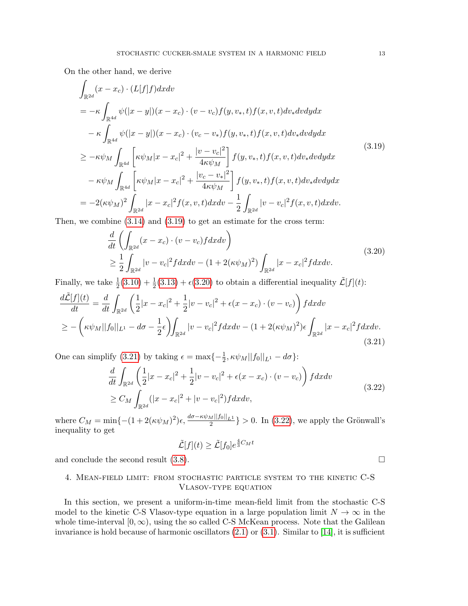On the other hand, we derive

$$
\int_{\mathbb{R}^{2d}} (x - x_c) \cdot (L[f]f) dx dv
$$
\n
$$
= -\kappa \int_{\mathbb{R}^{4d}} \psi(|x - y|)(x - x_c) \cdot (v - v_c) f(y, v_*, t) f(x, v, t) dv_* dv dy dx
$$
\n
$$
- \kappa \int_{\mathbb{R}^{4d}} \psi(|x - y|)(x - x_c) \cdot (v_c - v_*) f(y, v_*, t) f(x, v, t) dv_* dv dy dx
$$
\n
$$
\geq -\kappa \psi_M \int_{\mathbb{R}^{4d}} \left[ \kappa \psi_M |x - x_c|^2 + \frac{|v - v_c|^2}{4\kappa \psi_M} \right] f(y, v_*, t) f(x, v, t) dv_* dv dy dx
$$
\n
$$
- \kappa \psi_M \int_{\mathbb{R}^{4d}} \left[ \kappa \psi_M |x - x_c|^2 + \frac{|v_c - v_*|^2}{4\kappa \psi_M} \right] f(y, v_*, t) f(x, v, t) dv_* dv dy dx
$$
\n
$$
= -2(\kappa \psi_M)^2 \int_{\mathbb{R}^{2d}} |x - x_c|^2 f(x, v, t) dx dv - \frac{1}{2} \int_{\mathbb{R}^{2d}} |v - v_c|^2 f(x, v, t) dx dv.
$$
\n(3.19)

Then, we combine  $(3.14)$  and  $(3.19)$  to get an estimate for the cross term:

<span id="page-12-1"></span>
$$
\frac{d}{dt} \left( \int_{\mathbb{R}^{2d}} (x - x_c) \cdot (v - v_c) f dx dv \right)
$$
\n
$$
\geq \frac{1}{2} \int_{\mathbb{R}^{2d}} |v - v_c|^2 f dx dv - (1 + 2(\kappa \psi_M)^2) \int_{\mathbb{R}^{2d}} |x - x_c|^2 f dx dv.
$$
\n(3.20)

Finally, we take  $\frac{1}{2}(3.10) + \frac{1}{2}(3.13) + \epsilon(3.20)$  $\frac{1}{2}(3.10) + \frac{1}{2}(3.13) + \epsilon(3.20)$  $\frac{1}{2}(3.10) + \frac{1}{2}(3.13) + \epsilon(3.20)$  $\frac{1}{2}(3.10) + \frac{1}{2}(3.13) + \epsilon(3.20)$  $\frac{1}{2}(3.10) + \frac{1}{2}(3.13) + \epsilon(3.20)$  $\frac{1}{2}(3.10) + \frac{1}{2}(3.13) + \epsilon(3.20)$  to obtain a differential inequality  $\tilde{\mathcal{L}}[f](t)$ :

$$
\frac{d\tilde{\mathcal{L}}[f](t)}{dt} = \frac{d}{dt} \int_{\mathbb{R}^{2d}} \left( \frac{1}{2} |x - x_c|^2 + \frac{1}{2} |v - v_c|^2 + \epsilon (x - x_c) \cdot (v - v_c) \right) f dx dv
$$
  
\n
$$
\geq - \left( \kappa \psi_M ||f_0||_{L^1} - d\sigma - \frac{1}{2} \epsilon \right) \int_{\mathbb{R}^{2d}} |v - v_c|^2 f dx dv - (1 + 2(\kappa \psi_M)^2) \epsilon \int_{\mathbb{R}^{2d}} |x - x_c|^2 f dx dv.
$$
\n(3.21)

One can simplify [\(3.21\)](#page-12-3) by taking  $\epsilon = \max\{-\frac{1}{2}, \kappa \psi_M ||f_0||_{L^1} - d\sigma\}$ :

$$
\frac{d}{dt} \int_{\mathbb{R}^{2d}} \left( \frac{1}{2} |x - x_c|^2 + \frac{1}{2} |v - v_c|^2 + \epsilon (x - x_c) \cdot (v - v_c) \right) f dx dv
$$
\n
$$
\geq C_M \int_{\mathbb{R}^{2d}} (|x - x_c|^2 + |v - v_c|^2) f dx dv,
$$
\n(3.22)

where  $C_M = \min\{-\frac{(1+2(\kappa\psi_M)^2)\epsilon, \frac{d\sigma - \kappa\psi_M||f_0||_{L^1}}{2}\} > 0$ . In [\(3.22\)](#page-12-4), we apply the Grönwall's inequality to get

$$
\tilde{\mathcal{L}}[f](t) \ge \tilde{\mathcal{L}}[f_0]e^{\frac{4}{3}C_M t}
$$

and conclude the second result  $(3.8)$ .

# <span id="page-12-0"></span>4. Mean-field limit: from stochastic particle system to the kinetic C-S Vlasov-type equation

In this section, we present a uniform-in-time mean-field limit from the stochastic C-S model to the kinetic C-S Vlasov-type equation in a large population limit  $N \to \infty$  in the whole time-interval  $[0, \infty)$ , using the so called C-S McKean process. Note that the Galilean invariance is hold because of harmonic oscillators  $(2.1)$  or  $(3.1)$ . Similar to  $[14]$ , it is sufficient

<span id="page-12-4"></span><span id="page-12-3"></span><span id="page-12-2"></span>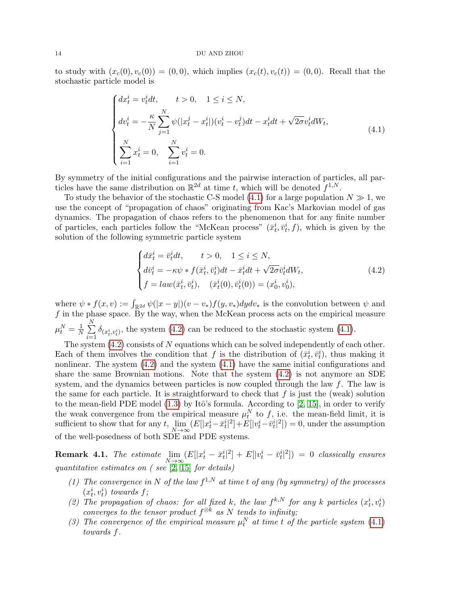to study with  $(x_c(0), v_c(0)) = (0, 0)$ , which implies  $(x_c(t), v_c(t)) = (0, 0)$ . Recall that the stochastic particle model is

<span id="page-13-0"></span>
$$
\begin{cases}\ndx_t^i = v_t^i dt, & t > 0, \quad 1 \le i \le N, \\
dv_t^i = -\frac{\kappa}{N} \sum_{j=1}^N \psi(|x_t^j - x_t^i|)(v_t^i - v_t^j) dt - x_t^i dt + \sqrt{2\sigma} v_t^i dW_t, \\
\sum_{i=1}^N x_t^i = 0, & \sum_{i=1}^N v_t^i = 0.\n\end{cases} \tag{4.1}
$$

By symmetry of the initial configurations and the pairwise interaction of particles, all particles have the same distribution on  $\mathbb{R}^{2d}$  at time t, which will be denoted  $f^{1,N}$ .

To study the behavior of the stochastic C-S model [\(4.1\)](#page-13-0) for a large population  $N \gg 1$ , we use the concept of "propagation of chaos" originating from Kac's Markovian model of gas dynamics. The propagation of chaos refers to the phenomenon that for any finite number of particles, each particles follow the "McKean process"  $(\bar{x}_t^i, \bar{v}_t^i, f)$ , which is given by the solution of the following symmetric particle system

<span id="page-13-1"></span>
$$
\begin{cases}\nd\bar{x}_t^i = \bar{v}_t^i dt, & t > 0, \quad 1 \le i \le N, \\
d\bar{v}_t^i = -\kappa \psi * f(\bar{x}_t^i, \bar{v}_t^i) dt - \bar{x}_t^i dt + \sqrt{2\sigma} \bar{v}_t^i dW_t, \\
f = law(\bar{x}_t^i, \bar{v}_t^i), & (\bar{x}_t^i(0), \bar{v}_t^i(0)) = (x_0^i, v_0^i),\n\end{cases} \tag{4.2}
$$

where  $\psi * f(x, v) := \int_{\mathbb{R}^{2d}} \psi(|x - y|)(v - v_*) f(y, v_*) dy dv_*$  is the convolution between  $\psi$  and  $f$  in the phase space. By the way, when the McKean process acts on the empirical measure  $\mu^N_t = \frac{1}{N}$  $\frac{1}{N}$  $\sum_{n=1}^{N}$  $\sum_{i=1} \delta_{(x_i^i, v_i^i)}$ , the system [\(4.2\)](#page-13-1) can be reduced to the stochastic system [\(4.1\)](#page-13-0).

The system  $(4.2)$  consists of N equations which can be solved independently of each other. Each of them involves the condition that f is the distribution of  $(\bar{x}_t^i, \bar{v}_t^i)$ , thus making it nonlinear. The system [\(4.2\)](#page-13-1) and the system [\(4.1\)](#page-13-0) have the same initial configurations and share the same Brownian motions. Note that the system [\(4.2\)](#page-13-1) is not anymore an SDE system, and the dynamics between particles is now coupled through the law  $f$ . The law is the same for each particle. It is straightforward to check that  $f$  is just the (weak) solution to the mean-field PDE model  $(1.3)$  by Itô's formula. According to  $[2, 15]$  $[2, 15]$ , in order to verify the weak convergence from the empirical measure  $\mu_t^N$  to f, i.e. the mean-field limit, it is sufficient to show that for any  $t$ ,  $\lim_{N\to\infty} (E[|x_t^i - \bar{x}_t^i|^2] + E[|v_t^i - \bar{v}_t^i|^2]) = 0$ , under the assumption of the well-posedness of both SDE and PDE systems.

**Remark 4.1.** The estimate  $\lim_{N\to\infty} (E[|x_t^i - \bar{x}_t^i|^2] + E[|v_t^i - \bar{v}_t^i|^2]) = 0$  classically ensures quantitative estimates on ( see [\[2,](#page-26-11) [15\]](#page-26-12) for details)

- (1) The convergence in N of the law  $f^{1,N}$  at time t of any (by symmetry) of the processes  $(x_t^i, v_t^i)$  towards f;
- (2) The propagation of chaos: for all fixed k, the law  $f^{k,N}$  for any k particles  $(x_t^i, v_t^i)$ converges to the tensor product  $f^{\otimes k}$  as N tends to infinity;
- (3) The convergence of the empirical measure  $\mu_t^N$  at time t of the particle system [\(4.1\)](#page-13-0) towards f.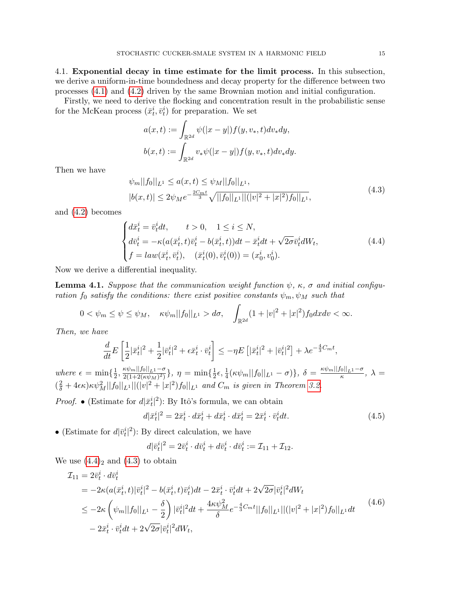4.1. Exponential decay in time estimate for the limit process. In this subsection, we derive a uniform-in-time boundedness and decay property for the difference between two processes [\(4.1\)](#page-13-0) and [\(4.2\)](#page-13-1) driven by the same Brownian motion and initial configuration.

Firstly, we need to derive the flocking and concentration result in the probabilistic sense for the McKean process  $(\bar{x}_t^i, \bar{v}_t^i)$  for preparation. We set

<span id="page-14-1"></span>
$$
a(x,t) := \int_{\mathbb{R}^{2d}} \psi(|x-y|) f(y, v_*, t) dv_* dy,
$$
  

$$
b(x,t) := \int_{\mathbb{R}^{2d}} v_* \psi(|x-y|) f(y, v_*, t) dv_* dy.
$$

Then we have

<span id="page-14-0"></span>
$$
\psi_m||f_0||_{L^1} \le a(x,t) \le \psi_M||f_0||_{L^1},
$$
  
\n
$$
|b(x,t)| \le 2\psi_M e^{-\frac{2C_m t}{3}} \sqrt{||f_0||_{L^1}||(|v|^2 + |x|^2)f_0||_{L^1}},
$$
\n(4.3)

and [\(4.2\)](#page-13-1) becomes

$$
\begin{cases}\nd\bar{x}_t^i = \bar{v}_t^i dt, & t > 0, \quad 1 \le i \le N, \\
d\bar{v}_t^i = -\kappa (a(\bar{x}_t^i, t)\bar{v}_t^i - b(\bar{x}_t^i, t))dt - \bar{x}_t^i dt + \sqrt{2\sigma} \bar{v}_t^i dW_t, \\
f = law(\bar{x}_t^i, \bar{v}_t^i), \quad (\bar{x}_t^i(0), \bar{v}_t^i(0)) = (x_0^i, v_0^i).\n\end{cases} \tag{4.4}
$$

Now we derive a differential inequality.

**Lemma 4.1.** Suppose that the communication weight function  $\psi$ ,  $\kappa$ ,  $\sigma$  and initial configuration  $f_0$  satisfy the conditions: there exist positive constants  $\psi_m$ ,  $\psi_M$  such that

$$
0 < \psi_m \le \psi \le \psi_M, \quad \kappa \psi_m ||f_0||_{L^1} > d\sigma, \quad \int_{\mathbb{R}^{2d}} (1 + |v|^2 + |x|^2) f_0 dx dv < \infty.
$$

Then, we have

$$
\frac{d}{dt}E\left[\frac{1}{2}|\bar{x}_t^i|^2 + \frac{1}{2}|\bar{v}_t^i|^2 + \epsilon \bar{x}_t^i \cdot \bar{v}_t^i\right] \le -\eta E\left[|\bar{x}_t^i|^2 + |\bar{v}_t^i|^2\right] + \lambda e^{-\frac{4}{3}C_m t},
$$

where  $\epsilon = \min\{\frac{1}{2}\}$  $\frac{1}{2}, \frac{\kappa \psi_m ||f_0||_{L^1} - \sigma}{2(1 + 2(\kappa \psi_M)^2)}$  $\frac{\kappa \psi_m ||f_0||_{L^1}-\sigma}{2(1+2(\kappa \psi_M)^2)}\}, \ \eta = \min\{\frac{1}{2}$  $\frac{1}{2}\epsilon, \frac{1}{4}(\kappa\psi_m||f_0||_{L^1}-\sigma)\},\ \delta=\frac{\kappa\psi_m||f_0||_{L^1}-\sigma}{\kappa},\ \lambda=$  $(\frac{2}{\delta} + 4\epsilon \kappa) \kappa \psi_M^2 ||f_0||_{L^1} ||(|v|^2 + |x|^2) f_0||_{L^1}$  and  $C_m$  is given in Theorem [3.2.](#page-9-6)

*Proof.* • (Estimate for  $d|\bar{x}_t^i|^2$ ): By Itô's formula, we can obtain

$$
d|\bar{x}_t^i|^2 = 2\bar{x}_t^i \cdot d\bar{x}_t^i + d\bar{x}_t^i \cdot d\bar{x}_t^i = 2\bar{x}_t^i \cdot \bar{v}_t^i dt. \tag{4.5}
$$

• (Estimate for  $d|\bar{v}_t^i|^2$ ): By direct calculation, we have

<span id="page-14-3"></span><span id="page-14-2"></span>
$$
d|\bar{v}_t^i|^2 = 2\bar{v}_t^i \cdot d\bar{v}_t^i + d\bar{v}_t^i \cdot d\bar{v}_t^i := \mathcal{I}_{11} + \mathcal{I}_{12}.
$$

We use  $(4.4)_2$  $(4.4)_2$  and  $(4.3)$  to obtain

$$
\mathcal{I}_{11} = 2\bar{v}_t^i \cdot d\bar{v}_t^i
$$
\n
$$
= -2\kappa (a(\bar{x}_t^i, t)|\bar{v}_t^i|^2 - b(\bar{x}_t^i, t)\bar{v}_t^i)dt - 2\bar{x}_t^i \cdot \bar{v}_t^i dt + 2\sqrt{2\sigma}|\bar{v}_t^i|^2 dW_t
$$
\n
$$
\leq -2\kappa \left(\psi_m||f_0||_{L^1} - \frac{\delta}{2}\right)|\bar{v}_t^i|^2 dt + \frac{4\kappa\psi_M^2}{\delta}e^{-\frac{4}{3}C_m t}||f_0||_{L^1}||(|v|^2 + |x|^2)f_0||_{L^1}dt
$$
\n
$$
-2\bar{x}_t^i \cdot \bar{v}_t^i dt + 2\sqrt{2\sigma}|\bar{v}_t^i|^2 dW_t,
$$
\n
$$
(4.6)
$$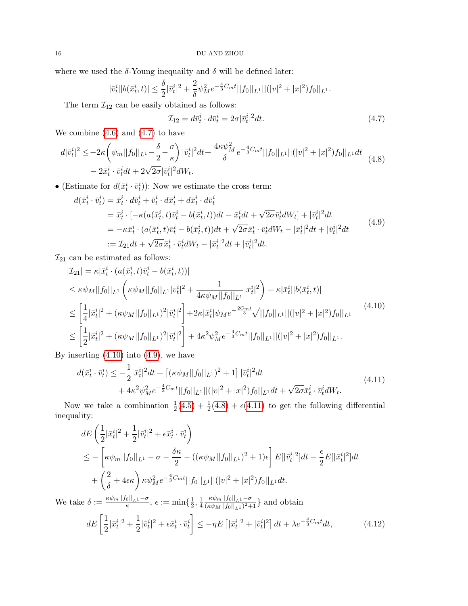where we used the  $\delta$ -Young inequailty and  $\delta$  will be defined later:

$$
|\bar{v}_t^i||b(\bar{x}_t^i, t)| \leq \frac{\delta}{2} |\bar{v}_t^i|^2 + \frac{2}{\delta} \psi_M^2 e^{-\frac{4}{3}C_m t} ||f_0||_{L^1} ||(|v|^2 + |x|^2) f_0||_{L^1}.
$$

The term  $\mathcal{I}_{12}$  can be easily obtained as follows:

<span id="page-15-3"></span><span id="page-15-2"></span><span id="page-15-1"></span><span id="page-15-0"></span>
$$
\mathcal{I}_{12} = d\bar{v}_t^i \cdot d\bar{v}_t^i = 2\sigma |\bar{v}_t^i|^2 dt. \tag{4.7}
$$

We combine  $(4.6)$  and  $(4.7)$  to have

$$
d|\bar{v}_t^i|^2 \le -2\kappa \left( \psi_m ||f_0||_{L^1} - \frac{\delta}{2} - \frac{\sigma}{\kappa} \right) |\bar{v}_t^i|^2 dt + \frac{4\kappa \psi_M^2}{\delta} e^{-\frac{4}{3}C_m t} ||f_0||_{L^1} ||(|v|^2 + |x|^2) f_0||_{L^1} dt
$$
\n
$$
-2\bar{x}_t^i \cdot \bar{v}_t^i dt + 2\sqrt{2\sigma} |\bar{v}_t^i|^2 dW_t.
$$
\n(4.8)

• (Estimate for  $d(\bar{x}_t^i \cdot \bar{v}_t^i)$ ): Now we estimate the cross term:

$$
d(\bar{x}_t^i \cdot \bar{v}_t^i) = \bar{x}_t^i \cdot d\bar{v}_t^i + \bar{v}_t^i \cdot d\bar{x}_t^i + d\bar{x}_t^i \cdot d\bar{v}_t^i
$$
  
\n
$$
= \bar{x}_t^i \cdot [-\kappa(a(\bar{x}_t^i, t)\bar{v}_t^i - b(\bar{x}_t^i, t))dt - \bar{x}_t^i dt + \sqrt{2\sigma}\bar{v}_t^i dW_t] + |\bar{v}_t^i|^2 dt
$$
  
\n
$$
= -\kappa \bar{x}_t^i \cdot (a(\bar{x}_t^i, t)\bar{v}_t^i - b(\bar{x}_t^i, t))dt + \sqrt{2\sigma}\bar{x}_t^i \cdot \bar{v}_t^i dW_t - |\bar{x}_t^i|^2 dt + |\bar{v}_t^i|^2 dt
$$
  
\n
$$
:= \mathcal{I}_{21}dt + \sqrt{2\sigma}\bar{x}_t^i \cdot \bar{v}_t^i dW_t - |\bar{x}_t^i|^2 dt + |\bar{v}_t^i|^2 dt.
$$
 (4.9)

 $\mathcal{I}_{21}$  can be estimated as follows:

$$
|\mathcal{I}_{21}| = \kappa |\bar{x}_t^i \cdot (a(\bar{x}_t^i, t)\bar{v}_t^i - b(\bar{x}_t^i, t))|
$$
  
\n
$$
\leq \kappa \psi_M ||f_0||_{L^1} \left( \kappa \psi_M ||f_0||_{L^1} |v_t^i|^2 + \frac{1}{4\kappa \psi_M ||f_0||_{L^1}} |x_t^i|^2 \right) + \kappa |\bar{x}_t^i||b(\bar{x}_t^i, t)|
$$
  
\n
$$
\leq \left[ \frac{1}{4} |\bar{x}_t^i|^2 + (\kappa \psi_M ||f_0||_{L^1})^2 |\bar{v}_t^i|^2 \right] + 2\kappa |\bar{x}_t^i| \psi_M e^{-\frac{2C_m t}{3}} \sqrt{||f_0||_{L^1} ||(|v|^2 + |x|^2) f_0||_{L^1}}
$$
(4.10)  
\n
$$
\leq \left[ \frac{1}{2} |\bar{x}_t^i|^2 + (\kappa \psi_M ||f_0||_{L^1})^2 |\bar{v}_t^i|^2 \right] + 4\kappa^2 \psi_M^2 e^{-\frac{4}{3}C_m t} ||f_0||_{L^1} ||(|v|^2 + |x|^2) f_0||_{L^1}.
$$

By inserting  $(4.10)$  into  $(4.9)$ , we have

<span id="page-15-4"></span>
$$
d(\bar{x}_t^i \cdot \bar{v}_t^i) \le -\frac{1}{2} |\bar{x}_t^i|^2 dt + [(\kappa \psi_M ||f_0||_{L^1})^2 + 1] |\bar{v}_t^i|^2 dt + 4\kappa^2 \psi_M^2 e^{-\frac{4}{3}C_m t} ||f_0||_{L^1} ||(|v|^2 + |x|^2) f_0||_{L^1} dt + \sqrt{2\sigma} \bar{x}_t^i \cdot \bar{v}_t^i dW_t.
$$
\n(4.11)

Now we take a combination  $\frac{1}{2}(4.5) + \frac{1}{2}(4.8) + \epsilon(4.11)$  $\frac{1}{2}(4.5) + \frac{1}{2}(4.8) + \epsilon(4.11)$  $\frac{1}{2}(4.5) + \frac{1}{2}(4.8) + \epsilon(4.11)$  $\frac{1}{2}(4.5) + \frac{1}{2}(4.8) + \epsilon(4.11)$  $\frac{1}{2}(4.5) + \frac{1}{2}(4.8) + \epsilon(4.11)$  $\frac{1}{2}(4.5) + \frac{1}{2}(4.8) + \epsilon(4.11)$  to get the following differential inequality:

$$
dE\left(\frac{1}{2}|\bar{x}_{t}^{i}|^{2} + \frac{1}{2}|\bar{v}_{t}^{i}|^{2} + \epsilon\bar{x}_{t}^{i} \cdot \bar{v}_{t}^{i}\right)
$$
  
\n
$$
\leq -\left[\kappa\psi_{m}||f_{0}||_{L^{1}} - \sigma - \frac{\delta\kappa}{2} - ((\kappa\psi_{M}||f_{0}||_{L^{1}})^{2} + 1)\epsilon\right]E[|\bar{v}_{t}^{i}|^{2}]dt - \frac{\epsilon}{2}E[|\bar{x}_{t}^{i}|^{2}]dt
$$
  
\n
$$
+ \left(\frac{2}{\delta} + 4\epsilon\kappa\right)\kappa\psi_{M}^{2}e^{-\frac{4}{3}C_{m}t}||f_{0}||_{L^{1}}||(|v|^{2} + |x|^{2})f_{0}||_{L^{1}}dt.
$$
  
\nWe take  $\delta := \frac{\kappa\psi_{m}||f_{0}||_{L^{1}} - \sigma}{\kappa}, \epsilon := \min\{\frac{1}{2}, \frac{1}{4}\frac{\kappa\psi_{m}||f_{0}||_{L^{1}} - \sigma}{(\kappa\psi_{M}||f_{0}||_{L^{1}})^{2} + 1}\}$  and obtain

<span id="page-15-5"></span> $dE\left[\frac{1}{2}\right]$  $\frac{1}{2}|\bar{x}_t^i|^2 + \frac{1}{2}$  $\frac{1}{2}|\bar{v}_t^i|^2+\epsilon \bar{x}_t^i\cdot \bar{v}_t^i$  $\left[\left|\frac{\bar{x}_{t}^{i}}{z_{t}^{i}}\right|^{2}+|\bar{v}_{t}^{i}|^{2}\right]dt+\lambda e^{-\frac{4}{3}C_{m}t}$  $(4.12)$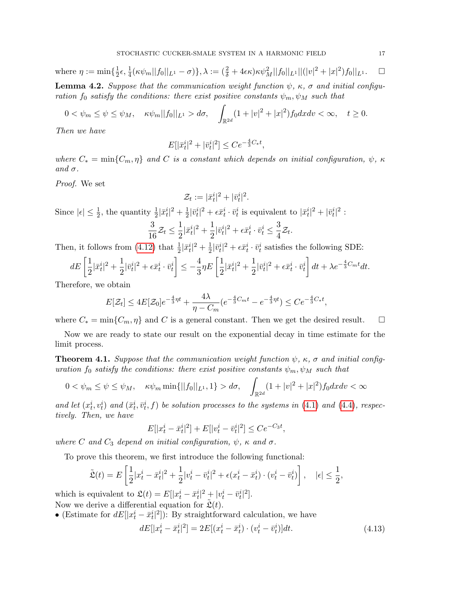where 
$$
\eta := \min\{\frac{1}{2}\epsilon, \frac{1}{4}(\kappa\psi_m||f_0||_{L^1} - \sigma)\}, \lambda := (\frac{2}{\delta} + 4\epsilon\kappa)\kappa\psi_M^2||f_0||_{L^1}||(|v|^2 + |x|^2)f_0||_{L^1}.\quad \Box
$$

<span id="page-16-1"></span>**Lemma 4.2.** Suppose that the communication weight function  $\psi$ ,  $\kappa$ ,  $\sigma$  and initial configuration  $f_0$  satisfy the conditions: there exist positive constants  $\psi_m$ ,  $\psi_M$  such that

$$
0 < \psi_m \le \psi \le \psi_M, \quad \kappa \psi_m ||f_0||_{L^1} > d\sigma, \quad \int_{\mathbb{R}^{2d}} (1 + |v|^2 + |x|^2) f_0 dx dv < \infty, \quad t \ge 0.
$$

Then we have

$$
E[|\bar{x}_t^i|^2 + |\bar{v}_t^i|^2] \le Ce^{-\frac{4}{3}C_*t},
$$

where  $C_* = \min\{C_m, \eta\}$  and C is a constant which depends on initial configuration,  $\psi$ ,  $\kappa$ and  $\sigma$ .

Proof. We set

$$
\mathcal{Z}_t := |\bar{x}_t^i|^2 + |\bar{v}_t^i|^2.
$$

Since  $|\epsilon| \leq \frac{1}{2}$ , the quantity  $\frac{1}{2}|\bar{x}_t^i|^2 + \frac{1}{2}$  $\frac{1}{2}|\bar{v}_t^i|^2 + \epsilon \bar{x}_t^i \cdot \bar{v}_t^i$  is equivalent to  $|\bar{x}_t^i|^2 + |\bar{v}_t^i|^2$ :

$$
\frac{3}{16}\mathcal{Z}_t \le \frac{1}{2}|\bar{x}_t^i|^2 + \frac{1}{2}|\bar{v}_t^i|^2 + \epsilon \bar{x}_t^i \cdot \bar{v}_t^i \le \frac{3}{4}\mathcal{Z}_t.
$$

Then, it follows from [\(4.12\)](#page-15-5) that  $\frac{1}{2}|\bar{x}_t^i|^2 + \frac{1}{2}$  $\frac{1}{2}|\bar{v}_t^i|^2 + \epsilon \bar{x}_t^i \cdot \bar{v}_t^i$  satisfies the following SDE:

$$
dE\left[\frac{1}{2}|\bar{x}_t^i|^2 + \frac{1}{2}|\bar{v}_t^i|^2 + \epsilon \bar{x}_t^i \cdot \bar{v}_t^i\right] \le -\frac{4}{3}\eta E\left[\frac{1}{2}|\bar{x}_t^i|^2 + \frac{1}{2}|\bar{v}_t^i|^2 + \epsilon \bar{x}_t^i \cdot \bar{v}_t^i\right]dt + \lambda e^{-\frac{4}{3}C_m t}dt.
$$

Therefore, we obtain

$$
E[\mathcal{Z}_t] \le 4E[\mathcal{Z}_0]e^{-\frac{4}{3}\eta t} + \frac{4\lambda}{\eta - C_m}(e^{-\frac{4}{3}C_m t} - e^{-\frac{4}{3}\eta t}) \le Ce^{-\frac{4}{3}C_*t},
$$

where  $C_* = \min\{C_m, \eta\}$  and C is a general constant. Then we get the desired result.  $\square$ 

Now we are ready to state our result on the exponential decay in time estimate for the limit process.

<span id="page-16-2"></span>**Theorem 4.1.** Suppose that the communication weight function  $\psi$ ,  $\kappa$ ,  $\sigma$  and initial configuration  $f_0$  satisfy the conditions: there exist positive constants  $\psi_m$ ,  $\psi_M$  such that

$$
0 < \psi_m \le \psi \le \psi_M, \quad \kappa \psi_m \min\{||f_0||_{L^1}, 1\} > d\sigma, \quad \int_{\mathbb{R}^{2d}} (1 + |v|^2 + |x|^2) f_0 dx dv < \infty
$$

and let  $(x_t^i, v_t^i)$  and  $(\bar{x}_t^i, \bar{v}_t^i, f)$  be solution processes to the systems in [\(4.1\)](#page-13-0) and [\(4.4\)](#page-14-0), respectively. Then, we have

$$
E[|x_t^i - \bar{x}_t^i|^2] + E[|v_t^i - \bar{v}_t^i|^2] \le Ce^{-C_3 t},
$$

where C and  $C_3$  depend on initial configuration,  $\psi$ ,  $\kappa$  and  $\sigma$ .

To prove this theorem, we first introduce the following functional:

$$
\tilde{\mathfrak{L}}(t) = E\left[\frac{1}{2}|x_t^i - \bar{x}_t^i|^2 + \frac{1}{2}|v_t^i - \bar{v}_t^i|^2 + \epsilon (x_t^i - \bar{x}_t^i) \cdot (v_t^i - \bar{v}_t^i)\right], \quad |\epsilon| \le \frac{1}{2},
$$

which is equivalent to  $\mathfrak{L}(t) = E[|x_t^i - \bar{x}_t^i|^2 + |v_t^i - \bar{v}_t^i|^2].$ 

Now we derive a differential equation for  $\tilde{\mathfrak{L}}(t)$ .

• (Estimate for  $dE[|x_t^i - \bar{x}_t^i|^2]$ ): By straightforward calculation, we have

<span id="page-16-0"></span>
$$
dE[|x_t^i - \bar{x}_t^i|^2] = 2E[(x_t^i - \bar{x}_t^i) \cdot (v_t^i - \bar{v}_t^i)]dt.
$$
\n(4.13)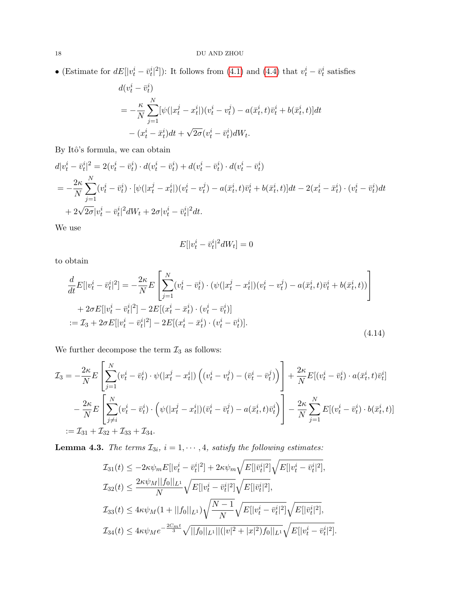• (Estimate for  $dE[|v_t^i - \bar{v}_t^i|^2]$ ): It follows from [\(4.1\)](#page-13-0) and [\(4.4\)](#page-14-0) that  $v_t^i - \bar{v}_t^i$  satisfies

$$
d(v_t^i - \bar{v}_t^i)
$$
  
=  $-\frac{\kappa}{N} \sum_{j=1}^N [\psi(|x_t^j - x_t^i|)(v_t^i - v_t^j) - a(\bar{x}_t^i, t)\bar{v}_t^i + b(\bar{x}_t^i, t)]dt$   
 $-(x_t^i - \bar{x}_t^i)dt + \sqrt{2\sigma}(v_t^i - \bar{v}_t^i)dW_t.$ 

By Itô's formula, we can obtain

$$
d|v_t^i - \bar{v}_t^i|^2 = 2(v_t^i - \bar{v}_t^i) \cdot d(v_t^i - \bar{v}_t^i) + d(v_t^i - \bar{v}_t^i) \cdot d(v_t^i - \bar{v}_t^i)
$$
  
=  $-\frac{2\kappa}{N} \sum_{j=1}^N (v_t^i - \bar{v}_t^i) \cdot [\psi(|x_t^j - x_t^i|)(v_t^i - v_t^j) - a(\bar{x}_t^i, t)\bar{v}_t^i + b(\bar{x}_t^i, t)]dt - 2(x_t^i - \bar{x}_t^i) \cdot (v_t^i - \bar{v}_t^i)dt$   
+  $2\sqrt{2\sigma}|v_t^i - \bar{v}_t^i|^2 dW_t + 2\sigma|v_t^i - \bar{v}_t^i|^2 dt.$ 

We use

<span id="page-17-0"></span>
$$
E[|v_t^i - \bar{v}_t^i|^2 dW_t] = 0
$$

to obtain

$$
\frac{d}{dt}E[|v_t^i - \bar{v}_t^i|^2] = -\frac{2\kappa}{N}E\left[\sum_{j=1}^N (v_t^i - \bar{v}_t^i) \cdot (\psi(|x_t^j - x_t^i|)(v_t^i - v_t^j) - a(\bar{x}_t^i, t)\bar{v}_t^i + b(\bar{x}_t^i, t))\right] \n+ 2\sigma E[|v_t^i - \bar{v}_t^i|^2] - 2E[(x_t^i - \bar{x}_t^i) \cdot (v_t^i - \bar{v}_t^i)] \n:= \mathcal{I}_3 + 2\sigma E[|v_t^i - \bar{v}_t^i|^2] - 2E[(x_t^i - \bar{x}_t^i) \cdot (v_t^i - \bar{v}_t^i)].
$$
\n(4.14)

We further decompose the term  $\mathcal{I}_3$  as follows:

$$
\mathcal{I}_3 = -\frac{2\kappa}{N} E\left[\sum_{j=1}^N (v_t^i - \bar{v}_t^i) \cdot \psi(|x_t^j - x_t^i|) \left( (v_t^i - v_t^j) - (\bar{v}_t^i - \bar{v}_t^j) \right) \right] + \frac{2\kappa}{N} E[(v_t^i - \bar{v}_t^i) \cdot a(\bar{x}_t^i, t)\bar{v}_t^i] \n- \frac{2\kappa}{N} E\left[\sum_{j \neq i}^N (v_t^i - \bar{v}_t^i) \cdot \left( \psi(|x_t^j - x_t^i|)(\bar{v}_t^i - \bar{v}_t^j) - a(\bar{x}_t^i, t)\bar{v}_t^i \right) \right] - \frac{2\kappa}{N} \sum_{j=1}^N E[(v_t^i - \bar{v}_t^i) \cdot b(\bar{x}_t^i, t)] \n:= \mathcal{I}_{31} + \mathcal{I}_{32} + \mathcal{I}_{33} + \mathcal{I}_{34}.
$$

**Lemma 4.3.** The terms  $\mathcal{I}_{3i}$ ,  $i = 1, \dots, 4$ , satisfy the following estimates:

$$
\mathcal{I}_{31}(t) \leq -2\kappa \psi_m E[|v_t^i - \bar{v}_t^i|^2] + 2\kappa \psi_m \sqrt{E[|\bar{v}_t^i|^2]} \sqrt{E[|v_t^i - \bar{v}_t^i|^2]},
$$
  
\n
$$
\mathcal{I}_{32}(t) \leq \frac{2\kappa \psi_M ||f_0||_{L^1}}{N} \sqrt{E[|v_t^i - \bar{v}_t^i|^2]} \sqrt{E[|\bar{v}_t^i|^2]},
$$
  
\n
$$
\mathcal{I}_{33}(t) \leq 4\kappa \psi_M (1 + ||f_0||_{L^1}) \sqrt{\frac{N-1}{N}} \sqrt{E[|v_t^i - \bar{v}_t^i|^2]} \sqrt{E[|\bar{v}_t^i|^2]},
$$
  
\n
$$
\mathcal{I}_{34}(t) \leq 4\kappa \psi_M e^{-\frac{2C_m t}{3}} \sqrt{||f_0||_{L^1} ||(|v|^2 + |x|^2) f_0||_{L^1}} \sqrt{E[|v_t^i - \bar{v}_t^i|^2]}.
$$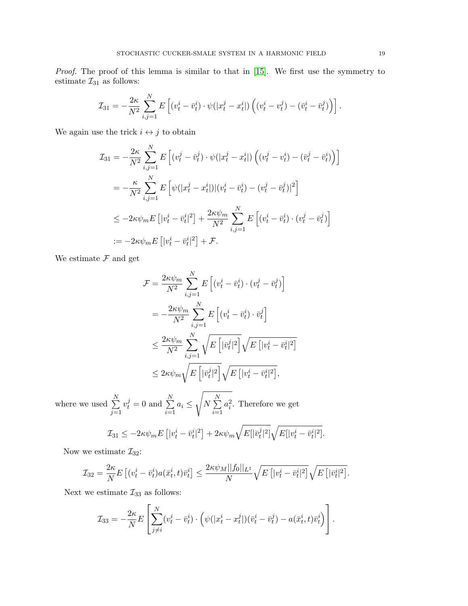Proof. The proof of this lemma is similar to that in [\[15\]](#page-26-12). We first use the symmetry to estimate  $\mathcal{I}_{31}$  as follows:

$$
\mathcal{I}_{31} = -\frac{2\kappa}{N^2} \sum_{i,j=1}^N E\left[ (v_t^i - \bar{v}_t^i) \cdot \psi(|x_t^j - x_t^i|) \left( (v_t^i - v_t^j) - (\bar{v}_t^i - \bar{v}_t^j) \right) \right].
$$

We again use the trick  $i\leftrightarrow j$  to obtain

$$
\mathcal{I}_{31} = -\frac{2\kappa}{N^2} \sum_{i,j=1}^{N} E\left[ (v_t^j - \bar{v}_t^j) \cdot \psi(|x_t^j - x_t^i|) \left( (v_t^j - v_t^i) - (\bar{v}_t^j - \bar{v}_t^i) \right) \right]
$$
  
\n
$$
= -\frac{\kappa}{N^2} \sum_{i,j=1}^{N} E\left[ \psi(|x_t^j - x_t^i|) | (v_t^i - \bar{v}_t^i) - (v_t^j - \bar{v}_t^j)|^2 \right]
$$
  
\n
$$
\leq -2\kappa \psi_m E\left[ |v_t^i - \bar{v}_t^i|^2 \right] + \frac{2\kappa \psi_m}{N^2} \sum_{i,j=1}^{N} E\left[ (v_t^i - \bar{v}_t^i) \cdot (v_t^j - \bar{v}_t^j) \right]
$$
  
\n
$$
:= -2\kappa \psi_m E\left[ |v_t^i - \bar{v}_t^i|^2 \right] + \mathcal{F}.
$$

We estimate  $\mathcal F$  and get

$$
\mathcal{F} = \frac{2\kappa\psi_m}{N^2} \sum_{i,j=1}^N E\left[ (v_t^i - \bar{v}_t^i) \cdot (v_t^j - \bar{v}_t^j) \right]
$$
  

$$
= -\frac{2\kappa\psi_m}{N^2} \sum_{i,j=1}^N E\left[ (v_t^i - \bar{v}_t^i) \cdot \bar{v}_t^j \right]
$$
  

$$
\leq \frac{2\kappa\psi_m}{N^2} \sum_{i,j=1}^N \sqrt{E\left[ |\bar{v}_t^j|^2 \right]} \sqrt{E\left[ |v_t^i - \bar{v}_t^i|^2 \right]}
$$
  

$$
\leq 2\kappa\psi_m \sqrt{E\left[ |\bar{v}_t^j|^2 \right]} \sqrt{E\left[ |v_t^i - \bar{v}_t^i|^2 \right]},
$$

where we used  $\sum_{n=1}^{N}$  $j=1$  $v_t^j = 0$  and  $\sum^N$  $i=1$  $a_i \leq$  $\sqrt{2}$  $N \sum_{i=1}^{N}$  $i=1$  $a_i^2$ . Therefore we get

$$
\mathcal{I}_{31} \leq -2\kappa \psi_m E\left[|\nu_t^i - \bar{\nu}_t^i|^2\right] + 2\kappa \psi_m \sqrt{E[|\bar{v}_t^j|^2]} \sqrt{E[|\nu_t^i - \bar{v}_t^i|^2]}.
$$

Now we estimate  $\mathcal{I}_{32}$ :

$$
\mathcal{I}_{32} = \frac{2\kappa}{N} E\left[ (v_t^i - \bar{v}_t^i) a(\bar{x}_t^i, t) \bar{v}_t^i \right] \le \frac{2\kappa \psi_M ||f_0||_{L^1}}{N} \sqrt{E\left[ |v_t^i - \bar{v}_t^i|^2 \right]} \sqrt{E\left[ |\bar{v}_t^i|^2 \right]}.
$$

Next we estimate  $\mathcal{I}_{33}$  as follows:

$$
\mathcal{I}_{33} = -\frac{2\kappa}{N} E\left[\sum_{j\neq i}^{N} (v_t^i - \bar{v}_t^i) \cdot \left(\psi(|x_t^i - x_t^j|)(\bar{v}_t^i - \bar{v}_t^j) - a(\bar{x}_t^i, t)\bar{v}_t^i\right)\right].
$$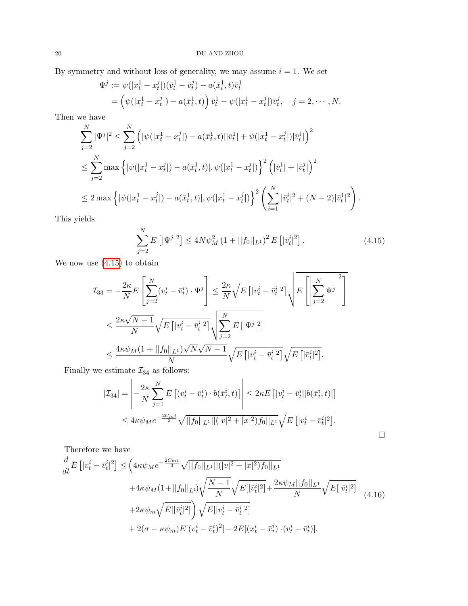By symmetry and without loss of generality, we may assume  $i = 1$ . We set

$$
\Psi^{j} := \psi(|x_{t}^{1} - x_{t}^{j}|)(\bar{v}_{t}^{1} - \bar{v}_{t}^{j}) - a(\bar{x}_{t}^{1}, t)\bar{v}_{t}^{1}
$$
\n
$$
= \left(\psi(|x_{t}^{1} - x_{t}^{j}|) - a(\bar{x}_{t}^{1}, t)\right)\bar{v}_{t}^{1} - \psi(|x_{t}^{1} - x_{t}^{j}|)\bar{v}_{t}^{j}, \quad j = 2, \cdots, N.
$$

Then we have

$$
\sum_{j=2}^{N} |\Psi^{j}|^{2} \leq \sum_{j=2}^{N} \left( |\psi(|x_{t}^{1}-x_{t}^{j}|) - a(\bar{x}_{t}^{1}, t)||\bar{v}_{t}^{1}| + \psi(|x_{t}^{1}-x_{t}^{j}|)|\bar{v}_{t}^{j}| \right)^{2}
$$
\n
$$
\leq \sum_{j=2}^{N} \max \left\{ |\psi(|x_{t}^{1}-x_{t}^{j}|) - a(\bar{x}_{t}^{1}, t)|, \psi(|x_{t}^{1}-x_{t}^{j}|) \right\}^{2} \left( |\bar{v}_{t}^{1}| + |\bar{v}_{t}^{j}| \right)^{2}
$$
\n
$$
\leq 2 \max \left\{ |\psi(|x_{t}^{1}-x_{t}^{j}|) - a(\bar{x}_{t}^{1}, t)|, \psi(|x_{t}^{1}-x_{t}^{j}|) \right\}^{2} \left( \sum_{i=1}^{N} |\bar{v}_{t}^{i}|^{2} + (N-2)|\bar{v}_{t}^{1}|^{2} \right).
$$

This yields

$$
\sum_{j=2}^{N} E\left[|\Psi^j|^2\right] \le 4N\psi_M^2 \left(1 + ||f_0||_{L^1}\right)^2 E\left[|\bar{v}_t^i|^2\right].\tag{4.15}
$$

We now use [\(4.15\)](#page-19-0) to obtain

$$
\mathcal{I}_{33} = -\frac{2\kappa}{N} E\left[\sum_{j=2}^{N} (v_t^i - \bar{v}_t^i) \cdot \Psi^j\right] \le \frac{2\kappa}{N} \sqrt{E\left[|v_t^i - \bar{v}_t^i|^2\right]} \sqrt{E\left[\left|\sum_{j=2}^{N} \Psi^j\right|^2\right]}
$$
  

$$
\le \frac{2\kappa\sqrt{N-1}}{N} \sqrt{E\left[|v_t^i - \bar{v}_t^i|^2\right]} \sqrt{\sum_{j=2}^{N} E\left[|\Psi^j|^2\right]}
$$
  

$$
\le \frac{4\kappa\psi_M(1 + ||f_0||_{L^1})\sqrt{N}\sqrt{N-1}}{N} \sqrt{E\left[|v_t^i - \bar{v}_t^i|^2\right]} \sqrt{E\left[|\bar{v}_t^i|^2\right]}.
$$

Finally we estimate  $\mathcal{I}_{34}$  as follows:

$$
|\mathcal{I}_{34}| = \left| -\frac{2\kappa}{N} \sum_{j=1}^{N} E\left[ (v_t^i - \bar{v}_t^i) \cdot b(\bar{x}_t^i, t) \right] \right| \leq 2\kappa E\left[ |v_t^i - \bar{v}_t^i| |b(\bar{x}_t^i, t)| \right] \leq 4\kappa \psi_M e^{-\frac{2C_m t}{3}} \sqrt{||f_0||_{L^1} ||(|v|^2 + |x|^2) f_0||_{L^1}} \sqrt{E\left[ |v_t^i - \bar{v}_t^i|^2 \right]}.
$$

<span id="page-19-1"></span><span id="page-19-0"></span> $\hfill \square$ 

Therefore we have

$$
\frac{d}{dt}E\left[|v_t^i - \bar{v}_t^i|^2\right] \leq \left(4\kappa\psi_M e^{-\frac{2C_m t}{3}} \sqrt{||f_0||_{L^1}||(|v|^2 + |x|^2)f_0||_{L^1}} + 4\kappa\psi_M(1+||f_0||_{L^1})\sqrt{\frac{N-1}{N}}\sqrt{E[|\bar{v}_t^i|^2]} + \frac{2\kappa\psi_M||f_0||_{L^1}}{N}\sqrt{E[|\bar{v}_t^i|^2]}
$$
\n
$$
+ 2\kappa\psi_m\sqrt{E[|\bar{v}_t^i|^2]}\sqrt{E[|v_t^i - \bar{v}_t^i|^2]}
$$
\n
$$
+ 2(\sigma - \kappa\psi_m)E[(v_t^i - \bar{v}_t^i)^2] - 2E[(x_t^i - \bar{x}_t^i) \cdot (v_t^i - \bar{v}_t^i)].
$$
\n(4.16)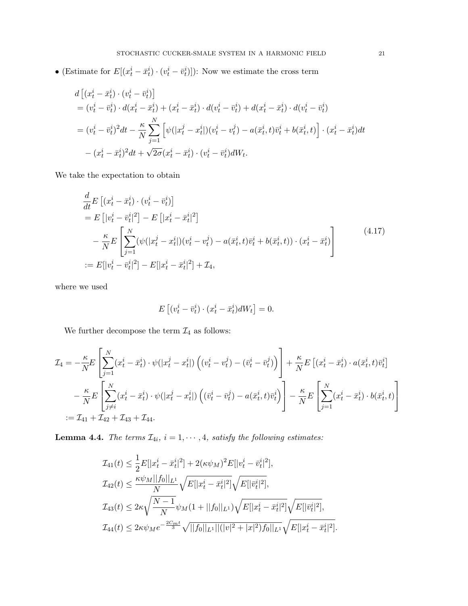• (Estimate for  $E[(x_t^i - \bar{x}_t^i) \cdot (v_t^i - \bar{v}_t^i)]$ ): Now we estimate the cross term

$$
d\left[ (x_t^i - \bar{x}_t^i) \cdot (v_t^i - \bar{v}_t^i) \right]
$$
  
=  $(v_t^i - \bar{v}_t^i) \cdot d(x_t^i - \bar{x}_t^i) + (x_t^i - \bar{x}_t^i) \cdot d(v_t^i - \bar{v}_t^i) + d(x_t^i - \bar{x}_t^i) \cdot d(v_t^i - \bar{v}_t^i)$   
=  $(v_t^i - \bar{v}_t^i)^2 dt - \frac{\kappa}{N} \sum_{j=1}^N \left[ \psi(|x_t^j - x_t^i|)(v_t^i - v_t^j) - a(\bar{x}_t^i, t)\bar{v}_t^i + b(\bar{x}_t^i, t) \right] \cdot (x_t^i - \bar{x}_t^i) dt$   
-  $(x_t^i - \bar{x}_t^i)^2 dt + \sqrt{2\sigma}(x_t^i - \bar{x}_t^i) \cdot (v_t^i - \bar{v}_t^i) dW_t.$ 

We take the expectation to obtain

$$
\frac{d}{dt}E\left[ (x_t^i - \bar{x}_t^i) \cdot (v_t^i - \bar{v}_t^i) \right] \n= E\left[ |v_t^i - \bar{v}_t^i|^2 \right] - E\left[ |x_t^i - \bar{x}_t^i|^2 \right] \n- \frac{\kappa}{N} E\left[ \sum_{j=1}^N (\psi(|x_t^j - x_t^i|)(v_t^i - v_t^j) - a(\bar{x}_t^i, t)\bar{v}_t^i + b(\bar{x}_t^i, t)) \cdot (x_t^i - \bar{x}_t^i) \right] \n:= E[|v_t^i - \bar{v}_t^i|^2] - E[|x_t^i - \bar{x}_t^i|^2] + \mathcal{I}_4,
$$
\n(4.17)

where we used

<span id="page-20-0"></span>
$$
E\left[(v_t^i - \bar{v}_t^i) \cdot (x_t^i - \bar{x}_t^i) dW_t\right] = 0.
$$

We further decompose the term  $\mathcal{I}_4$  as follows:

$$
\mathcal{I}_4 = -\frac{\kappa}{N} E \left[ \sum_{j=1}^N (x_t^i - \bar{x}_t^i) \cdot \psi(|x_t^j - x_t^i|) \left( (v_t^i - v_t^j) - (\bar{v}_t^i - \bar{v}_t^j) \right) \right] + \frac{\kappa}{N} E \left[ (x_t^i - \bar{x}_t^i) \cdot a(\bar{x}_t^i, t) \bar{v}_t^i \right]
$$
  

$$
- \frac{\kappa}{N} E \left[ \sum_{j \neq i}^N (x_t^i - \bar{x}_t^i) \cdot \psi(|x_t^j - x_t^i|) \left( (\bar{v}_t^i - \bar{v}_t^j) - a(\bar{x}_t^i, t) \bar{v}_t^i \right) \right] - \frac{\kappa}{N} E \left[ \sum_{j=1}^N (x_t^i - \bar{x}_t^i) \cdot b(\bar{x}_t^i, t) \right]
$$
  

$$
:= \mathcal{I}_{41} + \mathcal{I}_{42} + \mathcal{I}_{43} + \mathcal{I}_{44}.
$$

**Lemma 4.4.** The terms  $\mathcal{I}_{4i}$ ,  $i = 1, \dots, 4$ , satisfy the following estimates:

$$
\mathcal{I}_{41}(t) \leq \frac{1}{2}E[|x_t^i - \bar{x}_t^i|^2] + 2(\kappa \psi_M)^2 E[|v_t^i - \bar{v}_t^i|^2],
$$
  
\n
$$
\mathcal{I}_{42}(t) \leq \frac{\kappa \psi_M ||f_0||_{L^1}}{N} \sqrt{E[|x_t^i - \bar{x}_t^i|^2]} \sqrt{E[|\bar{v}_t^i|^2]},
$$
  
\n
$$
\mathcal{I}_{43}(t) \leq 2\kappa \sqrt{\frac{N-1}{N}} \psi_M(1 + ||f_0||_{L^1}) \sqrt{E[|x_t^i - \bar{x}_t^i|^2]} \sqrt{E[|\bar{v}_t^i|^2]},
$$
  
\n
$$
\mathcal{I}_{44}(t) \leq 2\kappa \psi_M e^{-\frac{2C_m t}{3}} \sqrt{||f_0||_{L^1} ||(|v|^2 + |x|^2) f_0||_{L^1}} \sqrt{E[|x_t^i - \bar{x}_t^i|^2]}.
$$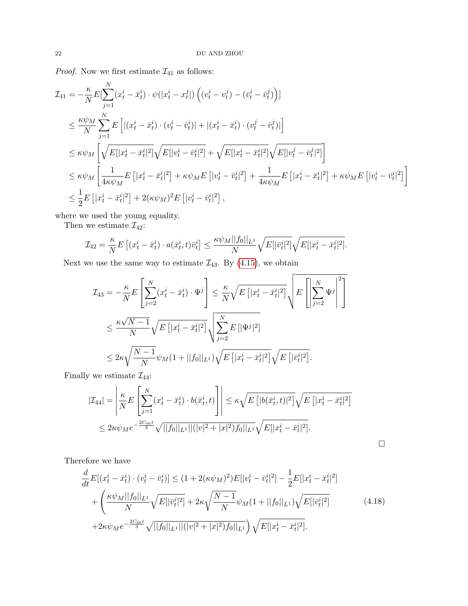*Proof.* Now we first estimate  $\mathcal{I}_{41}$  as follows:

$$
\mathcal{I}_{41} = -\frac{\kappa}{N} E[\sum_{j=1}^{N} (x_t^i - \bar{x}_t^i) \cdot \psi(|x_t^i - x_t^j|) \left( (v_t^i - v_t^j) - (\bar{v}_t^i - \bar{v}_t^j) \right)]
$$
\n
$$
\leq \frac{\kappa \psi_M}{N} \sum_{j=1}^{N} E\left[ |(x_t^i - \bar{x}_t^i) \cdot (v_t^i - \bar{v}_t^i)| + |(x_t^i - \bar{x}_t^i) \cdot (v_t^j - \bar{v}_t^j)| \right]
$$
\n
$$
\leq \kappa \psi_M \left[ \sqrt{E[|x_t^i - \bar{x}_t^i|^2]} \sqrt{E[|v_t^i - \bar{v}_t^i|^2]} + \sqrt{E[|x_t^i - \bar{x}_t^i|^2]} \sqrt{E[|v_t^i - \bar{v}_t^i|^2]} \right]
$$
\n
$$
\leq \kappa \psi_M \left[ \frac{1}{4\kappa \psi_M} E\left[ |x_t^i - \bar{x}_t^i|^2 \right] + \kappa \psi_M E\left[ |v_t^i - \bar{v}_t^i|^2 \right] + \frac{1}{4\kappa \psi_M} E\left[ |x_t^i - \bar{x}_t^i|^2 \right] + \kappa \psi_M E\left[ |v_t^i - \bar{v}_t^i|^2 \right] \right]
$$
\n
$$
\leq \frac{1}{2} E\left[ |x_t^i - \bar{x}_t^i|^2 \right] + 2(\kappa \psi_M)^2 E\left[ |v_t^i - \bar{v}_t^i|^2 \right],
$$

where we used the young equality.

Then we estimate  $\mathcal{I}_{42}$ :

$$
\mathcal{I}_{42} = \frac{\kappa}{N} E\left[ (x_t^i - \bar{x}_t^i) \cdot a(\bar{x}_t^i, t) \bar{v}_t^i \right] \le \frac{\kappa \psi_M ||f_0||_{L^1}}{N} \sqrt{E[|\bar{v}_t^i|^2]} \sqrt{E[|x_t^i - \bar{x}_t^i|^2]}.
$$

Next we use the same way to estimate  $\mathcal{I}_{43}$ . By [\(4.15\)](#page-19-0), we obtain

$$
\mathcal{I}_{43} = -\frac{\kappa}{N} E\left[\sum_{j=2}^{N} (x_t^i - \bar{x}_t^i) \cdot \Psi^j\right] \le \frac{\kappa}{N} \sqrt{E\left[|x_t^i - \bar{x}_t^i|^2\right]} \sqrt{E\left[\left|\sum_{j=2}^{N} \Psi^j\right|^2\right]}
$$
  

$$
\le \frac{\kappa \sqrt{N-1}}{N} \sqrt{E\left[|x_t^i - \bar{x}_t^i|^2\right]} \sqrt{\sum_{j=2}^{N} E\left[|\Psi^j|^2\right]}
$$
  

$$
\le 2\kappa \sqrt{\frac{N-1}{N}} \psi_M(1 + ||f_0||_{L^1}) \sqrt{E\left[|x_t^i - \bar{x}_t^i|^2\right]} \sqrt{E\left[|\bar{v}_t^i|^2\right]}.
$$

Finally we estimate  $\mathcal{I}_{44}$ :

$$
|\mathcal{I}_{44}| = \left| \frac{\kappa}{N} E\left[\sum_{j=1}^{N} (x_t^i - \bar{x}_t^i) \cdot b(\bar{x}_t^i, t) \right] \right| \le \kappa \sqrt{E\left[ |b(\bar{x}_t^i, t)|^2 \right]} \sqrt{E\left[ |x_t^i - \bar{x}_t^i|^2 \right]}
$$
  

$$
\le 2\kappa \psi_M e^{-\frac{2C_m t}{3}} \sqrt{||f_0||_{L^1} ||(|v|^2 + |x|^2) f_0||_{L^1}} \sqrt{E[|x_t^i - \bar{x}_t^i|^2]}.
$$

Therefore we have

<span id="page-21-0"></span>
$$
\frac{d}{dt}E[(x_t^i - \bar{x}_t^i) \cdot (v_t^i - \bar{v}_t^i)] \le (1 + 2(\kappa \psi_M)^2)E[|v_t^i - \bar{v}_t^i|^2] - \frac{1}{2}E[|x_t^i - \bar{x}_t^i|^2] \n+ \left(\frac{\kappa \psi_M ||f_0||_{L^1}}{N} \sqrt{E[|\bar{v}_t^i|^2]} + 2\kappa \sqrt{\frac{N-1}{N}} \psi_M(1 + ||f_0||_{L^1}) \sqrt{E[|\bar{v}_t^i|^2]} \n+ 2\kappa \psi_M e^{-\frac{2C_m t}{3}} \sqrt{||f_0||_{L^1}||(|v|^2 + |x|^2) f_0||_{L^1}} \right) \sqrt{E[|x_t^i - \bar{x}_t^i|^2]}.
$$
\n(4.18)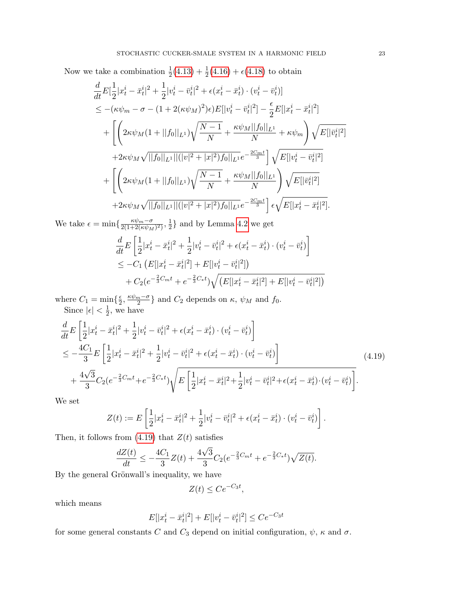Now we take a combination  $\frac{1}{2}(4.13) + \frac{1}{2}(4.16) + \epsilon(4.18)$  $\frac{1}{2}(4.13) + \frac{1}{2}(4.16) + \epsilon(4.18)$  $\frac{1}{2}(4.13) + \frac{1}{2}(4.16) + \epsilon(4.18)$  $\frac{1}{2}(4.13) + \frac{1}{2}(4.16) + \epsilon(4.18)$  $\frac{1}{2}(4.13) + \frac{1}{2}(4.16) + \epsilon(4.18)$  $\frac{1}{2}(4.13) + \frac{1}{2}(4.16) + \epsilon(4.18)$  to obtain

$$
\frac{d}{dt}E\left[\frac{1}{2}|x_t^i - \bar{x}_t^i|^2 + \frac{1}{2}|v_t^i - \bar{v}_t^i|^2 + \epsilon(x_t^i - \bar{x}_t^i) \cdot (v_t^i - \bar{v}_t^i)\right] \n\leq -(\kappa\psi_m - \sigma - (1 + 2(\kappa\psi_M)^2)\epsilon)E[|v_t^i - \bar{v}_t^i|^2] - \frac{\epsilon}{2}E[|x_t^i - \bar{x}_t^i|^2] \n+ \left[ \left( 2\kappa\psi_M(1 + ||f_0||_{L^1}) \sqrt{\frac{N-1}{N}} + \frac{\kappa\psi_M||f_0||_{L^1}}{N} + \kappa\psi_m \right) \sqrt{E[|\bar{v}_t^i|^2]} \n+ 2\kappa\psi_M\sqrt{||f_0||_{L^1}||(|v|^2 + |x|^2)f_0||_{L^1}}e^{-\frac{2C_m t}{3}} \right] \sqrt{E[|v_t^i - \bar{v}_t^i|^2]} \n+ \left[ \left( 2\kappa\psi_M(1 + ||f_0||_{L^1}) \sqrt{\frac{N-1}{N}} + \frac{\kappa\psi_M||f_0||_{L^1}}{N} \right) \sqrt{E[|\bar{v}_t^i|^2]} \n+ 2\kappa\psi_M\sqrt{||f_0||_{L^1}||(|v|^2 + |x|^2)f_0||_{L^1}}e^{-\frac{2C_m t}{3}} \right] \epsilon \sqrt{E[|x_t^i - \bar{x}_t^i|^2]}.
$$

We take  $\epsilon = \min\left\{\frac{\kappa \psi_m - \sigma}{2(1+2(\kappa \psi_m))}\right\}$  $\frac{\kappa\psi_m-\sigma}{2(1+2(\kappa\psi_M)^2)},\frac{1}{2}$  $\frac{1}{2}$  and by Lemma [4.2](#page-16-1) we get

$$
\frac{d}{dt}E\left[\frac{1}{2}|x_t^i - \bar{x}_t^i|^2 + \frac{1}{2}|v_t^i - \bar{v}_t^i|^2 + \epsilon(x_t^i - \bar{x}_t^i) \cdot (v_t^i - \bar{v}_t^i)\right] \n\leq -C_1 \left(E[|x_t^i - \bar{x}_t^i|^2] + E[|v_t^i - \bar{v}_t^i|^2]\right) \n+ C_2(e^{-\frac{2}{3}C_m t} + e^{-\frac{2}{3}C_* t})\sqrt{\left(E[|x_t^i - \bar{x}_t^i|^2] + E[|v_t^i - \bar{v}_t^i|^2]\right)}
$$

where  $C_1 = \min\{\frac{\epsilon}{2}$  $\frac{\epsilon}{2}, \frac{\kappa \psi_m - \sigma}{2}$  $\frac{n-\sigma}{2}$  and  $C_2$  depends on  $\kappa$ ,  $\psi_M$  and  $f_0$ . Since  $|\epsilon| < \frac{1}{2}$  $\frac{1}{2}$ , we have

$$
\frac{d}{dt}E\left[\frac{1}{2}|x_t^i - \bar{x}_t^i|^2 + \frac{1}{2}|v_t^i - \bar{v}_t^i|^2 + \epsilon(x_t^i - \bar{x}_t^i) \cdot (v_t^i - \bar{v}_t^i)\right] \n\le -\frac{4C_1}{3}E\left[\frac{1}{2}|x_t^i - \bar{x}_t^i|^2 + \frac{1}{2}|v_t^i - \bar{v}_t^i|^2 + \epsilon(x_t^i - \bar{x}_t^i) \cdot (v_t^i - \bar{v}_t^i)\right] \n+ \frac{4\sqrt{3}}{3}C_2(e^{-\frac{2}{3}C_m t} + e^{-\frac{2}{3}C_* t})\sqrt{E\left[\frac{1}{2}|x_t^i - \bar{x}_t^i|^2 + \frac{1}{2}|v_t^i - \bar{v}_t^i|^2 + \epsilon(x_t^i - \bar{x}_t^i) \cdot (v_t^i - \bar{v}_t^i)\right]}. \tag{4.19}
$$

We set

$$
Z(t) := E\left[\frac{1}{2}|x_t^i - \bar{x}_t^i|^2 + \frac{1}{2}|v_t^i - \bar{v}_t^i|^2 + \epsilon(x_t^i - \bar{x}_t^i) \cdot (v_t^i - \bar{v}_t^i)\right].
$$

Then, it follows from  $(4.19)$  that  $Z(t)$  satisfies

$$
\frac{dZ(t)}{dt} \le -\frac{4C_1}{3}Z(t) + \frac{4\sqrt{3}}{3}C_2(e^{-\frac{2}{3}C_m t} + e^{-\frac{2}{3}C_* t})\sqrt{Z(t)}.
$$

By the general Grönwall's inequality, we have

<span id="page-22-0"></span>
$$
Z(t) \le Ce^{-C_3 t},
$$

which means

$$
E[|x_t^i - \bar{x}_t^i|^2] + E[|v_t^i - \bar{v}_t^i|^2] \le Ce^{-C_3 t}
$$

for some general constants  $C$  and  $C_3$  depend on initial configuration,  $\psi$ ,  $\kappa$  and  $\sigma$ .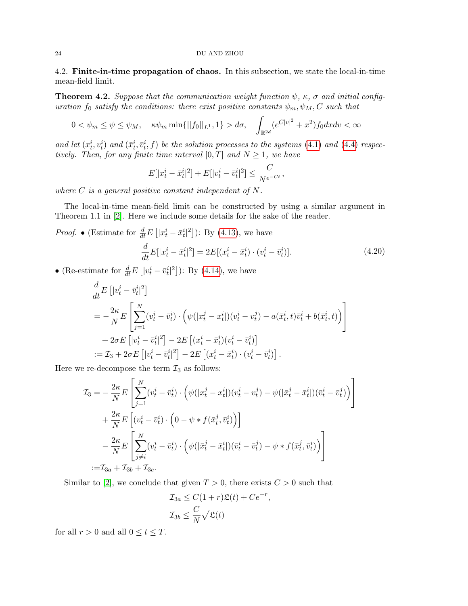4.2. Finite-in-time propagation of chaos. In this subsection, we state the local-in-time mean-field limit.

<span id="page-23-1"></span>**Theorem 4.2.** Suppose that the communication weight function  $\psi$ ,  $\kappa$ ,  $\sigma$  and initial configuration  $f_0$  satisfy the conditions: there exist positive constants  $\psi_m, \psi_M, C$  such that

$$
0 < \psi_m \le \psi \le \psi_M, \quad \kappa \psi_m \min\{||f_0||_{L^1}, 1\} > d\sigma, \quad \int_{\mathbb{R}^{2d}} (e^{C|v|^2} + x^2) f_0 dx dv < \infty
$$

and let  $(x_t^i, v_t^i)$  and  $(\bar{x}_t^i, \bar{v}_t^i, f)$  be the solution processes to the systems [\(4.1\)](#page-13-0) and [\(4.4\)](#page-14-0) respectively. Then, for any finite time interval  $[0, T]$  and  $N \geq 1$ , we have

$$
E[|x_t^i - \bar{x}_t^i|^2] + E[|v_t^i - \bar{v}_t^i|^2] \le \frac{C}{N^{e^{-Ct}}},
$$

where  $C$  is a general positive constant independent of  $N$ .

The local-in-time mean-field limit can be constructed by using a similar argument in Theorem 1.1 in [\[2\]](#page-26-11). Here we include some details for the sake of the reader.

*Proof.* • (Estimate for  $\frac{d}{dt}E\left[|x_t^i - \bar{x}_t^i|^2\right]$ ): By [\(4.13\)](#page-16-0), we have

<span id="page-23-0"></span>
$$
\frac{d}{dt}E[|x_t^i - \bar{x}_t^i|^2] = 2E[(x_t^i - \bar{x}_t^i) \cdot (v_t^i - \bar{v}_t^i)].\tag{4.20}
$$

• (Re-estimate for  $\frac{d}{dt}E\left[|v_t^i - \bar{v}_t^i|^2\right]$ ): By [\(4.14\)](#page-17-0), we have

$$
\frac{d}{dt} E\left[ |v_t^i - \bar{v}_t^i|^2 \right] \n= -\frac{2\kappa}{N} E\left[ \sum_{j=1}^N (v_t^i - \bar{v}_t^i) \cdot \left( \psi(|x_t^j - x_t^i|)(v_t^i - v_t^j) - a(\bar{x}_t^i, t)\bar{v}_t^i + b(\bar{x}_t^i, t) \right) \right] \n+ 2\sigma E\left[ |v_t^i - \bar{v}_t^i|^2 \right] - 2E\left[ (x_t^i - \bar{x}_t^i)(v_t^i - \bar{v}_t^i) \right] \n:= \mathcal{I}_3 + 2\sigma E\left[ |v_t^i - \bar{v}_t^i|^2 \right] - 2E\left[ (x_t^i - \bar{x}_t^i) \cdot (v_t^i - \bar{v}_t^i) \right].
$$

Here we re-decompose the term  $\mathcal{I}_3$  as follows:

$$
\mathcal{I}_3 = -\frac{2\kappa}{N} E\left[\sum_{j=1}^N (v_t^i - \bar{v}_t^i) \cdot \left(\psi(|x_t^j - x_t^i|)(v_t^i - v_t^j) - \psi(|\bar{x}_t^j - \bar{x}_t^i|)(\bar{v}_t^i - \bar{v}_t^j)\right)\right] \n+ \frac{2\kappa}{N} E\left[(v_t^i - \bar{v}_t^i) \cdot \left(0 - \psi * f(\bar{x}_t^j, \bar{v}_t^i)\right)\right] \n- \frac{2\kappa}{N} E\left[\sum_{j \neq i}^N (v_t^i - \bar{v}_t^i) \cdot \left(\psi(|\bar{x}_t^j - \bar{x}_t^i|)(\bar{v}_t^i - \bar{v}_t^j) - \psi * f(\bar{x}_t^j, \bar{v}_t^i)\right)\right] \n:= \mathcal{I}_{3a} + \mathcal{I}_{3b} + \mathcal{I}_{3c}.
$$

Similar to [\[2\]](#page-26-11), we conclude that given  $T > 0$ , there exists  $C > 0$  such that

$$
\mathcal{I}_{3a} \leq C(1+r)\mathfrak{L}(t) + Ce^{-r},
$$
  

$$
\mathcal{I}_{3b} \leq \frac{C}{N}\sqrt{\mathfrak{L}(t)}
$$

for all  $r > 0$  and all  $0 \le t \le T$ .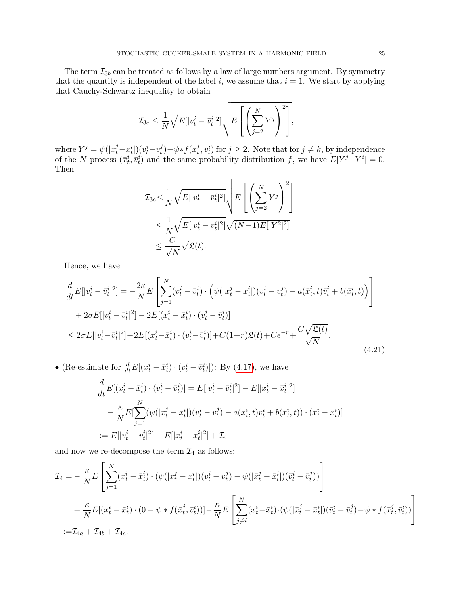The term  $\mathcal{I}_{3b}$  can be treated as follows by a law of large numbers argument. By symmetry that the quantity is independent of the label i, we assume that  $i = 1$ . We start by applying that Cauchy-Schwartz inequality to obtain

$$
\mathcal{I}_{3c} \leq \frac{1}{N} \sqrt{E[|v_t^i - \bar{v}_t^i|^2]} \sqrt{E\left[\left(\sum_{j=2}^N Y^j\right)^2\right]},
$$

where  $Y^j = \psi(|\bar{x}_t^j - \bar{x}_t^i|)(\bar{v}_t^i - \bar{v}_t^j)$  $\psi_t^j$ ) –  $\psi * f(\bar{x}_t^j)$  $(t, \bar{v}_t^i)$  for  $j \geq 2$ . Note that for  $j \neq k$ , by independence of the N process  $(\bar{x}_t^i, \bar{v}_t^i)$  and the same probability distribution f, we have  $E[Y^j \cdot Y^i] = 0$ . Then

$$
\mathcal{I}_{3c} \leq \frac{1}{N} \sqrt{E[|v_t^i - \bar{v}_t^i|^2]} \sqrt{E\left[\left(\sum_{j=2}^N Y^j\right)^2\right]}
$$
  

$$
\leq \frac{1}{N} \sqrt{E[|v_t^i - \bar{v}_t^i|^2]} \sqrt{(N-1)E[|Y^2|^2]}
$$
  

$$
\leq \frac{C}{\sqrt{N}} \sqrt{\mathfrak{L}(t)}.
$$

Hence, we have

$$
\frac{d}{dt}E[|v_t^i - \bar{v}_t^i|^2] = -\frac{2\kappa}{N}E\left[\sum_{j=1}^N (v_t^i - \bar{v}_t^i) \cdot \left(\psi(|x_t^j - x_t^i|)(v_t^i - v_t^j) - a(\bar{x}_t^i, t)\bar{v}_t^i + b(\bar{x}_t^i, t)\right)\right] \n+ 2\sigma E[|v_t^i - \bar{v}_t^i|^2] - 2E[(x_t^i - \bar{x}_t^i) \cdot (v_t^i - \bar{v}_t^i)] \n\leq 2\sigma E[|v_t^i - \bar{v}_t^i|^2] - 2E[(x_t^i - \bar{x}_t^i) \cdot (v_t^i - \bar{v}_t^i)] + C(1+r)\mathfrak{L}(t) + Ce^{-r} + \frac{C\sqrt{\mathfrak{L}(t)}}{\sqrt{N}}.
$$
\n(4.21)

• (Re-estimate for  $\frac{d}{dt}E[(x_t^i - \bar{x}_t^i) \cdot (v_t^i - \bar{v}_t^i)]$ ): By [\(4.17\)](#page-20-0), we have

<span id="page-24-0"></span>
$$
\frac{d}{dt}E[(x_t^i - \bar{x}_t^i) \cdot (v_t^i - \bar{v}_t^i)] = E[|v_t^i - \bar{v}_t^i|^2] - E[|x_t^i - \bar{x}_t^i|^2] \n- \frac{\kappa}{N} E[\sum_{j=1}^N (\psi(|x_t^j - x_t^i|)(v_t^i - v_t^j) - a(\bar{x}_t^i, t)\bar{v}_t^i + b(\bar{x}_t^i, t)) \cdot (x_t^i - \bar{x}_t^i)] \n:= E[|v_t^i - \bar{v}_t^i|^2] - E[|x_t^i - \bar{x}_t^i|^2] + \mathcal{I}_4
$$

and now we re-decompose the term  $\mathcal{I}_4$  as follows:

$$
\mathcal{I}_4 = -\frac{\kappa}{N} E \left[ \sum_{j=1}^N (x_t^i - \bar{x}_t^i) \cdot (\psi(|x_t^j - x_t^i|)(v_t^i - v_t^j) - \psi(|\bar{x}_t^j - \bar{x}_t^i|)(\bar{v}_t^i - \bar{v}_t^j)) \right] \n+ \frac{\kappa}{N} E[(x_t^i - \bar{x}_t^i) \cdot (0 - \psi * f(\bar{x}_t^j, \bar{v}_t^i))] - \frac{\kappa}{N} E \left[ \sum_{j \neq i}^N (x_t^i - \bar{x}_t^i) \cdot (\psi(|\bar{x}_t^j - \bar{x}_t^i|)(\bar{v}_t^i - \bar{v}_t^j) - \psi * f(\bar{x}_t^j, \bar{v}_t^i)) \right] \n:= \mathcal{I}_{4a} + \mathcal{I}_{4b} + \mathcal{I}_{4c}.
$$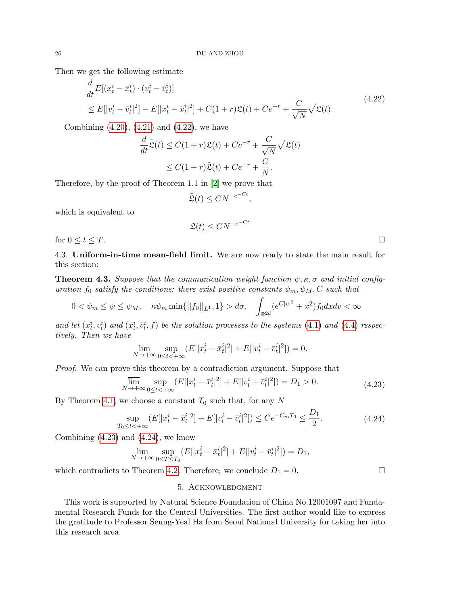Then we get the following estimate

$$
\frac{d}{dt}E[(x_t^i - \bar{x}_t^i) \cdot (v_t^i - \bar{v}_t^i)]
$$
\n
$$
\leq E[|v_t^i - \bar{v}_t^i|^2] - E[|x_t^i - \bar{x}_t^i|^2] + C(1+r)\mathfrak{L}(t) + Ce^{-r} + \frac{C}{\sqrt{N}}\sqrt{\mathfrak{L}(t)}.
$$
\n(4.22)

Combining  $(4.20)$ ,  $(4.21)$  and  $(4.22)$ , we have

$$
\frac{d}{dt}\tilde{\mathfrak{L}}(t) \leq C(1+r)\mathfrak{L}(t) + Ce^{-r} + \frac{C}{\sqrt{N}}\sqrt{\mathfrak{L}(t)}
$$

$$
\leq C(1+r)\tilde{\mathfrak{L}}(t) + Ce^{-r} + \frac{C}{N}.
$$

Therefore, by the proof of Theorem 1.1 in [\[2\]](#page-26-11) we prove that

$$
\tilde{\mathfrak{L}}(t) \leq C N^{-e^{-Ct}},
$$

which is equivalent to

$$
\mathfrak{L}(t) \leq C N^{-e^{-Ct}}
$$

for  $0 \leq t \leq T$ .

4.3. Uniform-in-time mean-field limit. We are now ready to state the main result for this section:

**Theorem 4.3.** Suppose that the communication weight function  $\psi, \kappa, \sigma$  and initial configuration  $f_0$  satisfy the conditions: there exist positive constants  $\psi_m, \psi_M, C$  such that

$$
0 < \psi_m \le \psi \le \psi_M, \quad \kappa \psi_m \min\{||f_0||_{L^1}, 1\} > d\sigma, \quad \int_{\mathbb{R}^{2d}} (e^{C|v|^2} + x^2) f_0 dx dv < \infty
$$

and let  $(x_t^i, v_t^i)$  and  $(\bar{x}_t^i, \bar{v}_t^i, f)$  be the solution processes to the systems [\(4.1\)](#page-13-0) and [\(4.4\)](#page-14-0) respectively. Then we have

$$
\overline{\lim}_{N \to +\infty} \sup_{0 \le t < +\infty} (E[|x_t^i - \bar{x}_t^i|^2] + E[|v_t^i - \bar{v}_t^i|^2]) = 0.
$$

Proof. We can prove this theorem by a contradiction argument. Suppose that

$$
\overline{\lim}_{N \to +\infty} \sup_{0 \le t < +\infty} (E[|x_t^i - \bar{x}_t^i|^2] + E[|v_t^i - \bar{v}_t^i|^2]) = D_1 > 0. \tag{4.23}
$$

By Theorem [4.1,](#page-16-2) we choose a constant  $T_0$  such that, for any N

$$
\sup_{T_0 \le t < +\infty} (E[|x_t^i - \bar{x}_t^i|^2] + E[|v_t^i - \bar{v}_t^i|^2]) \le C e^{-C_m T_0} \le \frac{D_1}{2}.\tag{4.24}
$$

Combining  $(4.23)$  and  $(4.24)$ , we know

$$
\varlimsup_{N\to+\infty}\sup_{0\leq T\leq T_0}(E[|x_t^i-\bar{x}_t^i|^2]+E[|v_t^i-\bar{v}_t^i|^2])=D_1,
$$

which contradicts to Theorem [4.2.](#page-23-1) Therefore, we conclude  $D_1 = 0$ .

<span id="page-25-2"></span><span id="page-25-1"></span>

5. Acknowledgment

This work is supported by Natural Science Foundation of China No.12001097 and Fundamental Research Funds for the Central Universities. The first author would like to express the gratitude to Professor Seung-Yeal Ha from Seoul National University for taking her into this research area.

<span id="page-25-0"></span>